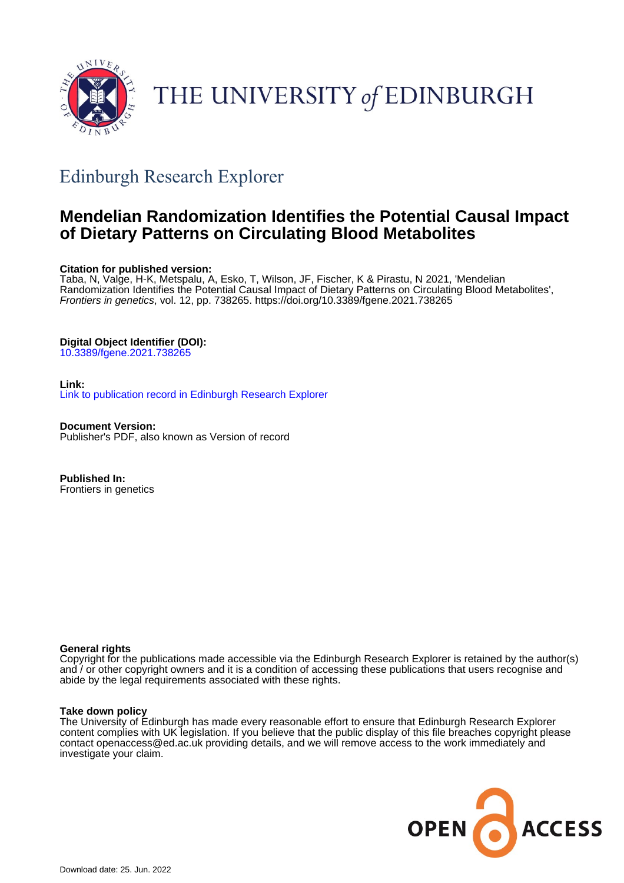

# THE UNIVERSITY of EDINBURGH

## Edinburgh Research Explorer

### **Mendelian Randomization Identifies the Potential Causal Impact of Dietary Patterns on Circulating Blood Metabolites**

#### **Citation for published version:**

Taba, N, Valge, H-K, Metspalu, A, Esko, T, Wilson, JF, Fischer, K & Pirastu, N 2021, 'Mendelian Randomization Identifies the Potential Causal Impact of Dietary Patterns on Circulating Blood Metabolites', Frontiers in genetics, vol. 12, pp. 738265.<https://doi.org/10.3389/fgene.2021.738265>

#### **Digital Object Identifier (DOI):**

[10.3389/fgene.2021.738265](https://doi.org/10.3389/fgene.2021.738265)

#### **Link:**

[Link to publication record in Edinburgh Research Explorer](https://www.research.ed.ac.uk/en/publications/32101903-36a0-4e8f-be53-4c0333620ded)

**Document Version:** Publisher's PDF, also known as Version of record

**Published In:** Frontiers in genetics

#### **General rights**

Copyright for the publications made accessible via the Edinburgh Research Explorer is retained by the author(s) and / or other copyright owners and it is a condition of accessing these publications that users recognise and abide by the legal requirements associated with these rights.

#### **Take down policy**

The University of Edinburgh has made every reasonable effort to ensure that Edinburgh Research Explorer content complies with UK legislation. If you believe that the public display of this file breaches copyright please contact openaccess@ed.ac.uk providing details, and we will remove access to the work immediately and investigate your claim.

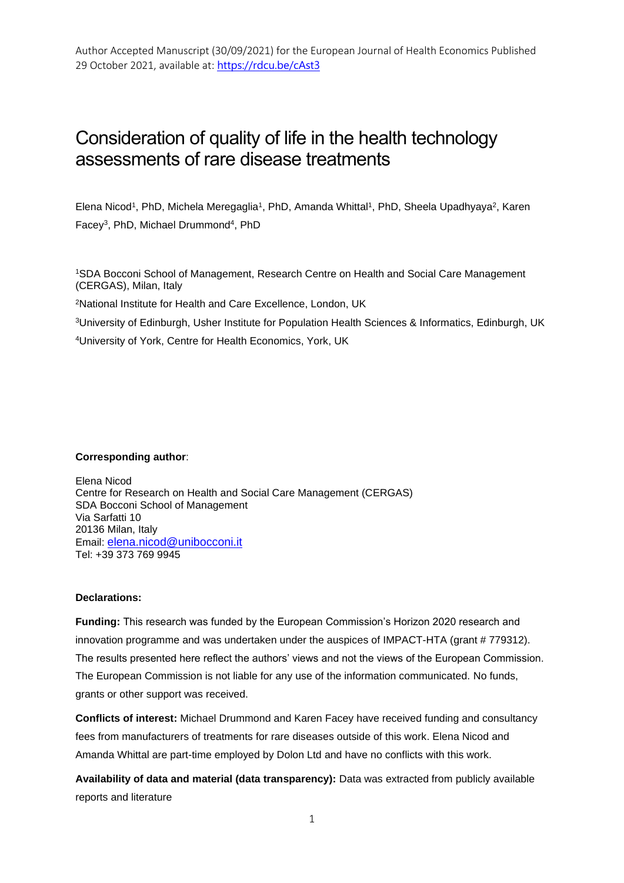## Consideration of quality of life in the health technology assessments of rare disease treatments

Elena Nicod<sup>1</sup>, PhD, Michela Meregaglia<sup>1</sup>, PhD, Amanda Whittal<sup>1</sup>, PhD, Sheela Upadhyaya<sup>2</sup>, Karen Facey<sup>3</sup>, PhD, Michael Drummond<sup>4</sup>, PhD

<sup>1</sup>SDA Bocconi School of Management, Research Centre on Health and Social Care Management (CERGAS), Milan, Italy

<sup>2</sup>National Institute for Health and Care Excellence, London, UK

<sup>3</sup>University of Edinburgh, Usher Institute for Population Health Sciences & Informatics, Edinburgh, UK

<sup>4</sup>University of York, Centre for Health Economics, York, UK

#### **Corresponding author**:

Elena Nicod Centre for Research on Health and Social Care Management (CERGAS) SDA Bocconi School of Management Via Sarfatti 10 20136 Milan, Italy Email: [elena.nicod@unibocconi.it](mailto:elena.nicod@unibocconi.it) Tel: +39 373 769 9945

#### **Declarations:**

**Funding:** This research was funded by the European Commission's Horizon 2020 research and innovation programme and was undertaken under the auspices of IMPACT-HTA (grant # 779312). The results presented here reflect the authors' views and not the views of the European Commission. The European Commission is not liable for any use of the information communicated. No funds, grants or other support was received.

**Conflicts of interest:** Michael Drummond and Karen Facey have received funding and consultancy fees from manufacturers of treatments for rare diseases outside of this work. Elena Nicod and Amanda Whittal are part-time employed by Dolon Ltd and have no conflicts with this work.

**Availability of data and material (data transparency):** Data was extracted from publicly available reports and literature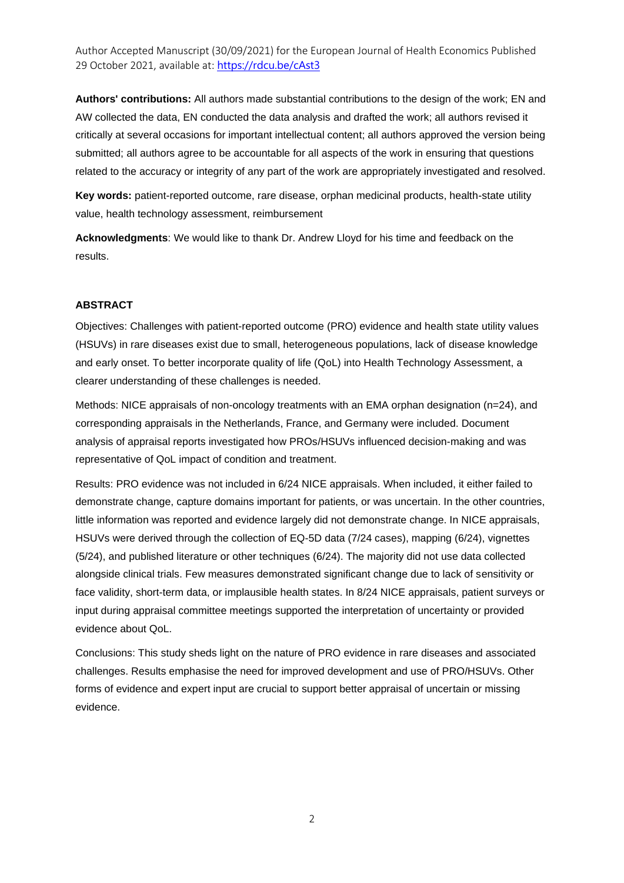**Authors' contributions:** All authors made substantial contributions to the design of the work; EN and AW collected the data, EN conducted the data analysis and drafted the work; all authors revised it critically at several occasions for important intellectual content; all authors approved the version being submitted; all authors agree to be accountable for all aspects of the work in ensuring that questions related to the accuracy or integrity of any part of the work are appropriately investigated and resolved.

**Key words:** patient-reported outcome, rare disease, orphan medicinal products, health-state utility value, health technology assessment, reimbursement

**Acknowledgments**: We would like to thank Dr. Andrew Lloyd for his time and feedback on the results.

#### **ABSTRACT**

Objectives: Challenges with patient-reported outcome (PRO) evidence and health state utility values (HSUVs) in rare diseases exist due to small, heterogeneous populations, lack of disease knowledge and early onset. To better incorporate quality of life (QoL) into Health Technology Assessment, a clearer understanding of these challenges is needed.

Methods: NICE appraisals of non-oncology treatments with an EMA orphan designation (n=24), and corresponding appraisals in the Netherlands, France, and Germany were included. Document analysis of appraisal reports investigated how PROs/HSUVs influenced decision-making and was representative of QoL impact of condition and treatment.

Results: PRO evidence was not included in 6/24 NICE appraisals. When included, it either failed to demonstrate change, capture domains important for patients, or was uncertain. In the other countries, little information was reported and evidence largely did not demonstrate change. In NICE appraisals, HSUVs were derived through the collection of EQ-5D data (7/24 cases), mapping (6/24), vignettes (5/24), and published literature or other techniques (6/24). The majority did not use data collected alongside clinical trials. Few measures demonstrated significant change due to lack of sensitivity or face validity, short-term data, or implausible health states. In 8/24 NICE appraisals, patient surveys or input during appraisal committee meetings supported the interpretation of uncertainty or provided evidence about QoL.

Conclusions: This study sheds light on the nature of PRO evidence in rare diseases and associated challenges. Results emphasise the need for improved development and use of PRO/HSUVs. Other forms of evidence and expert input are crucial to support better appraisal of uncertain or missing evidence.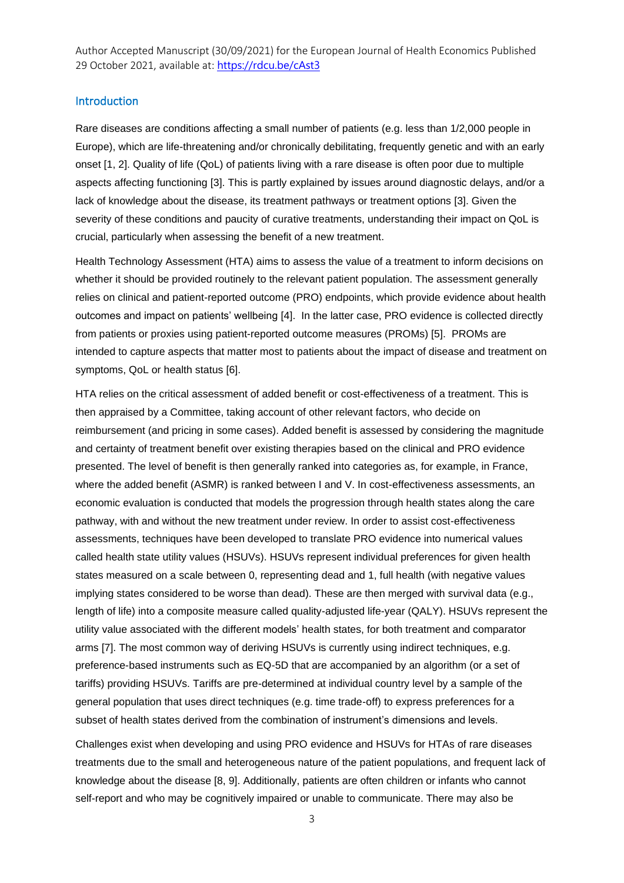#### Introduction

Rare diseases are conditions affecting a small number of patients (e.g. less than 1/2,000 people in Europe), which are life-threatening and/or chronically debilitating, frequently genetic and with an early onset [1, 2]. Quality of life (QoL) of patients living with a rare disease is often poor due to multiple aspects affecting functioning [3]. This is partly explained by issues around diagnostic delays, and/or a lack of knowledge about the disease, its treatment pathways or treatment options [3]. Given the severity of these conditions and paucity of curative treatments, understanding their impact on QoL is crucial, particularly when assessing the benefit of a new treatment.

Health Technology Assessment (HTA) aims to assess the value of a treatment to inform decisions on whether it should be provided routinely to the relevant patient population. The assessment generally relies on clinical and patient-reported outcome (PRO) endpoints, which provide evidence about health outcomes and impact on patients' wellbeing [4]. In the latter case, PRO evidence is collected directly from patients or proxies using patient-reported outcome measures (PROMs) [5]. PROMs are intended to capture aspects that matter most to patients about the impact of disease and treatment on symptoms, QoL or health status [6].

HTA relies on the critical assessment of added benefit or cost-effectiveness of a treatment. This is then appraised by a Committee, taking account of other relevant factors, who decide on reimbursement (and pricing in some cases). Added benefit is assessed by considering the magnitude and certainty of treatment benefit over existing therapies based on the clinical and PRO evidence presented. The level of benefit is then generally ranked into categories as, for example, in France, where the added benefit (ASMR) is ranked between I and V. In cost-effectiveness assessments, an economic evaluation is conducted that models the progression through health states along the care pathway, with and without the new treatment under review. In order to assist cost-effectiveness assessments, techniques have been developed to translate PRO evidence into numerical values called health state utility values (HSUVs). HSUVs represent individual preferences for given health states measured on a scale between 0, representing dead and 1, full health (with negative values implying states considered to be worse than dead). These are then merged with survival data (e.g., length of life) into a composite measure called quality-adjusted life-year (QALY). HSUVs represent the utility value associated with the different models' health states, for both treatment and comparator arms [7]. The most common way of deriving HSUVs is currently using indirect techniques, e.g. preference-based instruments such as EQ-5D that are accompanied by an algorithm (or a set of tariffs) providing HSUVs. Tariffs are pre-determined at individual country level by a sample of the general population that uses direct techniques (e.g. time trade-off) to express preferences for a subset of health states derived from the combination of instrument's dimensions and levels.

Challenges exist when developing and using PRO evidence and HSUVs for HTAs of rare diseases treatments due to the small and heterogeneous nature of the patient populations, and frequent lack of knowledge about the disease [8, 9]. Additionally, patients are often children or infants who cannot self-report and who may be cognitively impaired or unable to communicate. There may also be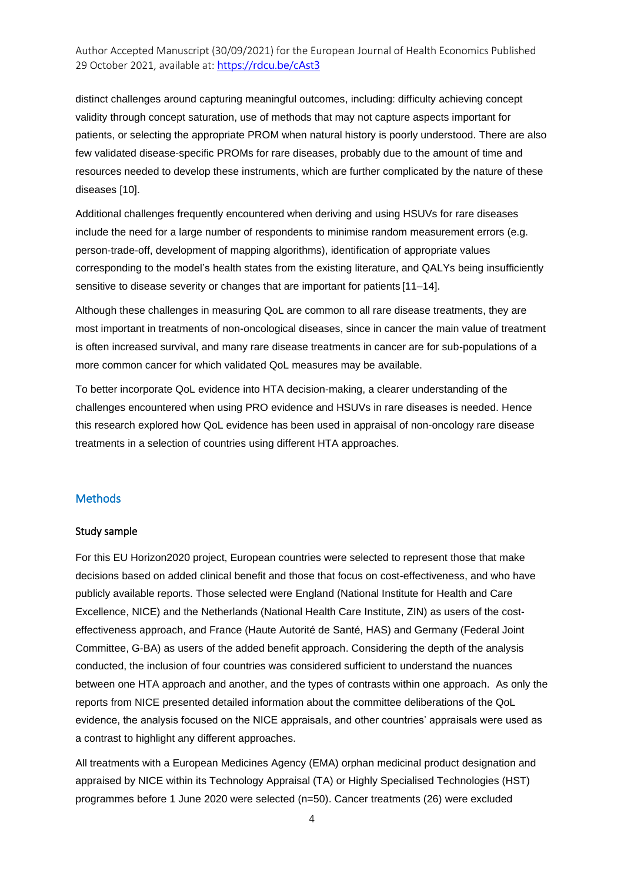distinct challenges around capturing meaningful outcomes, including: difficulty achieving concept validity through concept saturation, use of methods that may not capture aspects important for patients, or selecting the appropriate PROM when natural history is poorly understood. There are also few validated disease-specific PROMs for rare diseases, probably due to the amount of time and resources needed to develop these instruments, which are further complicated by the nature of these diseases [10].

Additional challenges frequently encountered when deriving and using HSUVs for rare diseases include the need for a large number of respondents to minimise random measurement errors (e.g. person-trade-off, development of mapping algorithms), identification of appropriate values corresponding to the model's health states from the existing literature, and QALYs being insufficiently sensitive to disease severity or changes that are important for patients [11–14].

Although these challenges in measuring QoL are common to all rare disease treatments, they are most important in treatments of non-oncological diseases, since in cancer the main value of treatment is often increased survival, and many rare disease treatments in cancer are for sub-populations of a more common cancer for which validated QoL measures may be available.

To better incorporate QoL evidence into HTA decision-making, a clearer understanding of the challenges encountered when using PRO evidence and HSUVs in rare diseases is needed. Hence this research explored how QoL evidence has been used in appraisal of non-oncology rare disease treatments in a selection of countries using different HTA approaches.

#### **Methods**

#### Study sample

For this EU Horizon2020 project, European countries were selected to represent those that make decisions based on added clinical benefit and those that focus on cost-effectiveness, and who have publicly available reports. Those selected were England (National Institute for Health and Care Excellence, NICE) and the Netherlands (National Health Care Institute, ZIN) as users of the costeffectiveness approach, and France (Haute Autorité de Santé, HAS) and Germany (Federal Joint Committee, G-BA) as users of the added benefit approach. Considering the depth of the analysis conducted, the inclusion of four countries was considered sufficient to understand the nuances between one HTA approach and another, and the types of contrasts within one approach. As only the reports from NICE presented detailed information about the committee deliberations of the QoL evidence, the analysis focused on the NICE appraisals, and other countries' appraisals were used as a contrast to highlight any different approaches.

All treatments with a European Medicines Agency (EMA) orphan medicinal product designation and appraised by NICE within its Technology Appraisal (TA) or Highly Specialised Technologies (HST) programmes before 1 June 2020 were selected (n=50). Cancer treatments (26) were excluded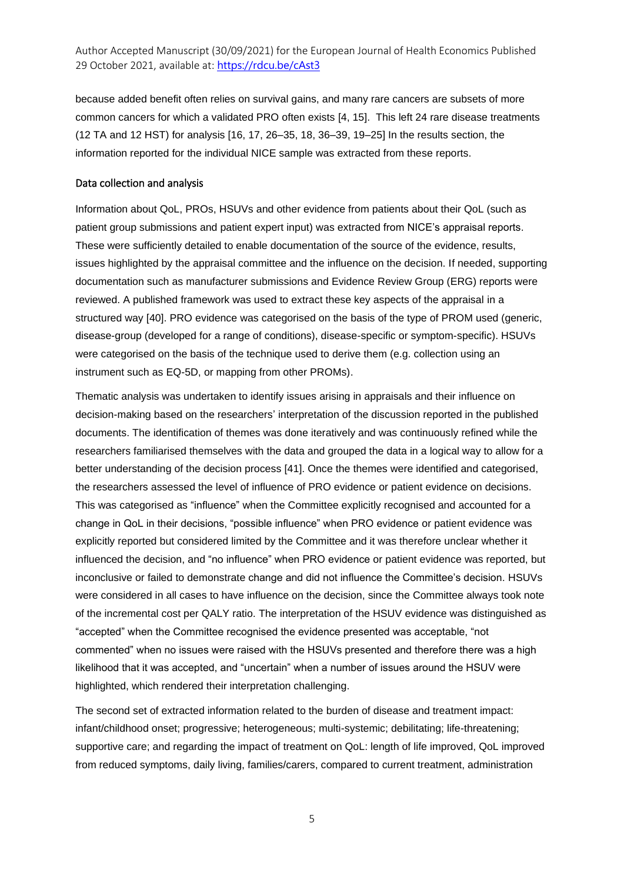because added benefit often relies on survival gains, and many rare cancers are subsets of more common cancers for which a validated PRO often exists [4, 15]. This left 24 rare disease treatments (12 TA and 12 HST) for analysis [16, 17, 26–35, 18, 36–39, 19–25] In the results section, the information reported for the individual NICE sample was extracted from these reports.

#### Data collection and analysis

Information about QoL, PROs, HSUVs and other evidence from patients about their QoL (such as patient group submissions and patient expert input) was extracted from NICE's appraisal reports. These were sufficiently detailed to enable documentation of the source of the evidence, results, issues highlighted by the appraisal committee and the influence on the decision. If needed, supporting documentation such as manufacturer submissions and Evidence Review Group (ERG) reports were reviewed. A published framework was used to extract these key aspects of the appraisal in a structured way [40]. PRO evidence was categorised on the basis of the type of PROM used (generic, disease-group (developed for a range of conditions), disease-specific or symptom-specific). HSUVs were categorised on the basis of the technique used to derive them (e.g. collection using an instrument such as EQ-5D, or mapping from other PROMs).

Thematic analysis was undertaken to identify issues arising in appraisals and their influence on decision-making based on the researchers' interpretation of the discussion reported in the published documents. The identification of themes was done iteratively and was continuously refined while the researchers familiarised themselves with the data and grouped the data in a logical way to allow for a better understanding of the decision process [41]. Once the themes were identified and categorised, the researchers assessed the level of influence of PRO evidence or patient evidence on decisions. This was categorised as "influence" when the Committee explicitly recognised and accounted for a change in QoL in their decisions, "possible influence" when PRO evidence or patient evidence was explicitly reported but considered limited by the Committee and it was therefore unclear whether it influenced the decision, and "no influence" when PRO evidence or patient evidence was reported, but inconclusive or failed to demonstrate change and did not influence the Committee's decision. HSUVs were considered in all cases to have influence on the decision, since the Committee always took note of the incremental cost per QALY ratio. The interpretation of the HSUV evidence was distinguished as "accepted" when the Committee recognised the evidence presented was acceptable, "not commented" when no issues were raised with the HSUVs presented and therefore there was a high likelihood that it was accepted, and "uncertain" when a number of issues around the HSUV were highlighted, which rendered their interpretation challenging.

The second set of extracted information related to the burden of disease and treatment impact: infant/childhood onset; progressive; heterogeneous; multi-systemic; debilitating; life-threatening; supportive care; and regarding the impact of treatment on QoL: length of life improved, QoL improved from reduced symptoms, daily living, families/carers, compared to current treatment, administration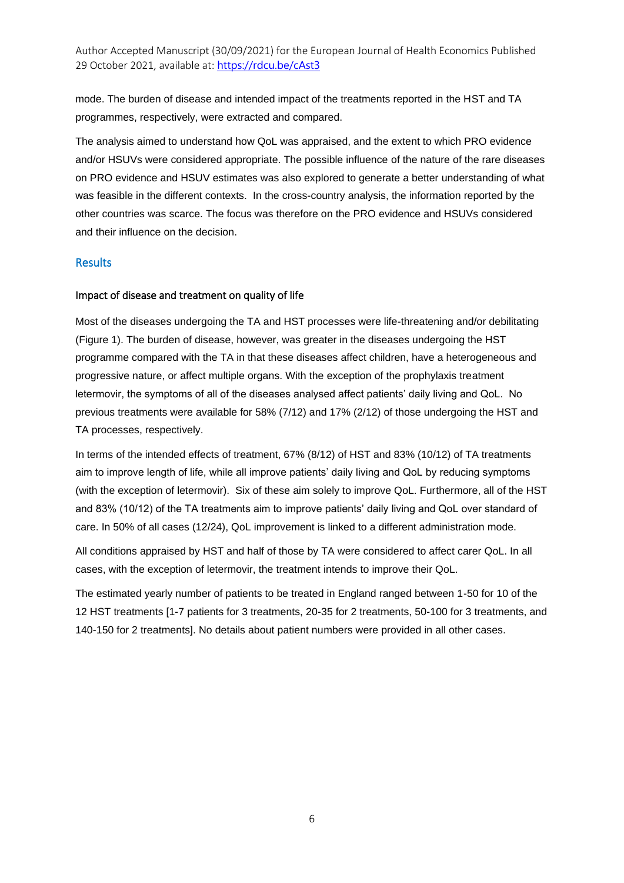mode. The burden of disease and intended impact of the treatments reported in the HST and TA programmes, respectively, were extracted and compared.

The analysis aimed to understand how QoL was appraised, and the extent to which PRO evidence and/or HSUVs were considered appropriate. The possible influence of the nature of the rare diseases on PRO evidence and HSUV estimates was also explored to generate a better understanding of what was feasible in the different contexts. In the cross-country analysis, the information reported by the other countries was scarce. The focus was therefore on the PRO evidence and HSUVs considered and their influence on the decision.

#### **Results**

#### Impact of disease and treatment on quality of life

Most of the diseases undergoing the TA and HST processes were life-threatening and/or debilitating (Figure 1). The burden of disease, however, was greater in the diseases undergoing the HST programme compared with the TA in that these diseases affect children, have a heterogeneous and progressive nature, or affect multiple organs. With the exception of the prophylaxis treatment letermovir, the symptoms of all of the diseases analysed affect patients' daily living and QoL. No previous treatments were available for 58% (7/12) and 17% (2/12) of those undergoing the HST and TA processes, respectively.

In terms of the intended effects of treatment, 67% (8/12) of HST and 83% (10/12) of TA treatments aim to improve length of life, while all improve patients' daily living and QoL by reducing symptoms (with the exception of letermovir). Six of these aim solely to improve QoL. Furthermore, all of the HST and 83% (10/12) of the TA treatments aim to improve patients' daily living and QoL over standard of care. In 50% of all cases (12/24), QoL improvement is linked to a different administration mode.

All conditions appraised by HST and half of those by TA were considered to affect carer QoL. In all cases, with the exception of letermovir, the treatment intends to improve their QoL.

The estimated yearly number of patients to be treated in England ranged between 1-50 for 10 of the 12 HST treatments [1-7 patients for 3 treatments, 20-35 for 2 treatments, 50-100 for 3 treatments, and 140-150 for 2 treatments]. No details about patient numbers were provided in all other cases.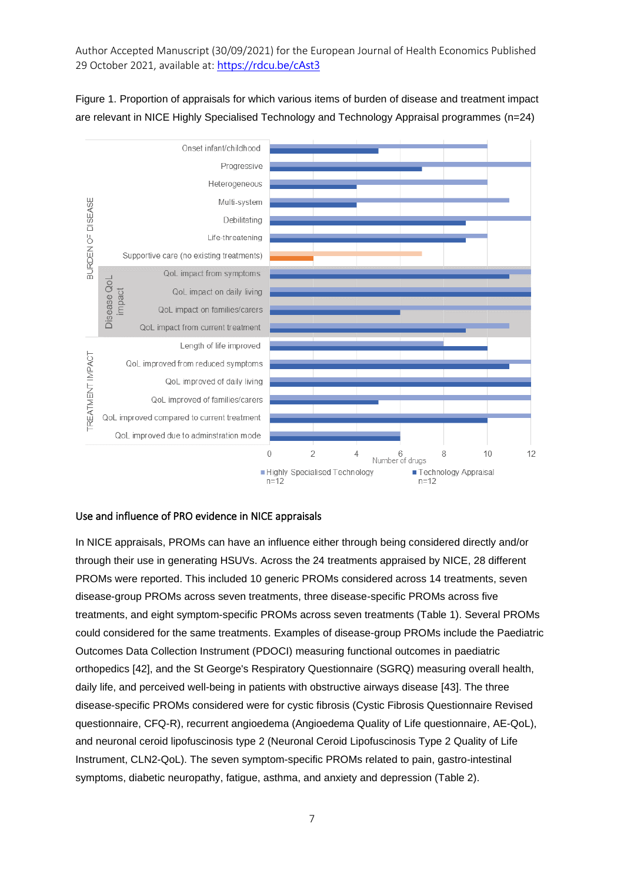

Figure 1. Proportion of appraisals for which various items of burden of disease and treatment impact are relevant in NICE Highly Specialised Technology and Technology Appraisal programmes (n=24)

#### Use and influence of PRO evidence in NICE appraisals

In NICE appraisals, PROMs can have an influence either through being considered directly and/or through their use in generating HSUVs. Across the 24 treatments appraised by NICE, 28 different PROMs were reported. This included 10 generic PROMs considered across 14 treatments, seven disease-group PROMs across seven treatments, three disease-specific PROMs across five treatments, and eight symptom-specific PROMs across seven treatments (Table 1). Several PROMs could considered for the same treatments. Examples of disease-group PROMs include the Paediatric Outcomes Data Collection Instrument (PDOCI) measuring functional outcomes in paediatric orthopedics [42], and the St George's Respiratory Questionnaire (SGRQ) measuring overall health, daily life, and perceived well-being in patients with obstructive airways disease [43]. The three disease-specific PROMs considered were for cystic fibrosis (Cystic Fibrosis Questionnaire Revised questionnaire, CFQ-R), recurrent angioedema (Angioedema Quality of Life questionnaire, AE-QoL), and neuronal ceroid lipofuscinosis type 2 (Neuronal Ceroid Lipofuscinosis Type 2 Quality of Life Instrument, CLN2-QoL). The seven symptom-specific PROMs related to pain, gastro-intestinal symptoms, diabetic neuropathy, fatigue, asthma, and anxiety and depression (Table 2).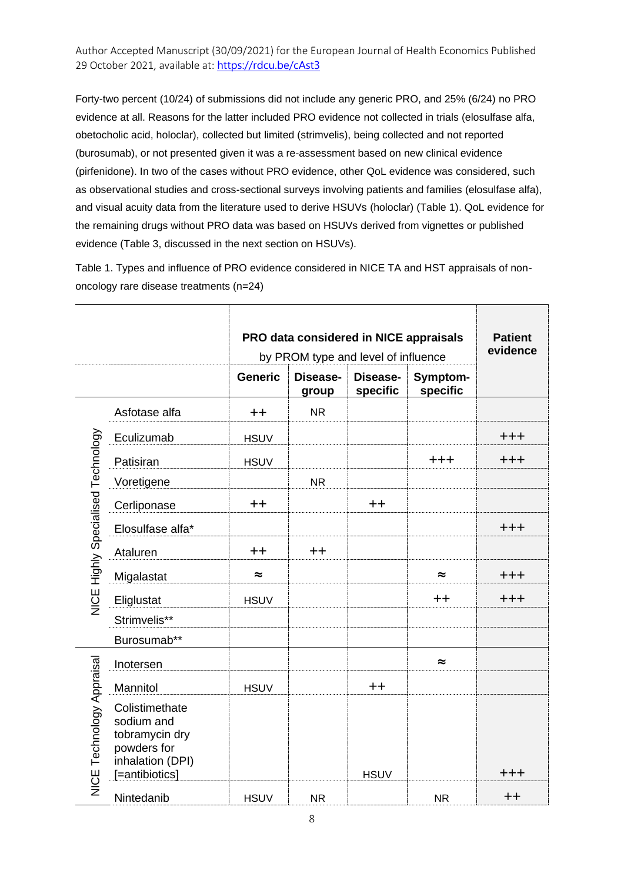Forty-two percent (10/24) of submissions did not include any generic PRO, and 25% (6/24) no PRO evidence at all. Reasons for the latter included PRO evidence not collected in trials (elosulfase alfa, obetocholic acid, holoclar), collected but limited (strimvelis), being collected and not reported (burosumab), or not presented given it was a re-assessment based on new clinical evidence (pirfenidone). In two of the cases without PRO evidence, other QoL evidence was considered, such as observational studies and cross-sectional surveys involving patients and families (elosulfase alfa), and visual acuity data from the literature used to derive HSUVs (holoclar) (Table 1). QoL evidence for the remaining drugs without PRO data was based on HSUVs derived from vignettes or published evidence (Table 3, discussed in the next section on HSUVs).

Table 1. Types and influence of PRO evidence considered in NICE TA and HST appraisals of nononcology rare disease treatments (n=24)

|                                    |                                                                                                     |                | PRO data considered in NICE appraisals<br>by PROM type and level of influence | <b>Patient</b><br>evidence |           |         |
|------------------------------------|-----------------------------------------------------------------------------------------------------|----------------|-------------------------------------------------------------------------------|----------------------------|-----------|---------|
|                                    |                                                                                                     | <b>Generic</b> |                                                                               |                            |           |         |
|                                    | Asfotase alfa                                                                                       | $++$           | <b>NR</b>                                                                     |                            |           |         |
|                                    | Eculizumab                                                                                          | <b>HSUV</b>    |                                                                               |                            |           | $+ + +$ |
|                                    | Patisiran                                                                                           | <b>HSUV</b>    |                                                                               |                            | $+ + +$   | $+ + +$ |
|                                    | Voretigene                                                                                          |                | <b>NR</b>                                                                     |                            |           |         |
|                                    | Cerliponase                                                                                         | $++$           |                                                                               | $++$                       |           |         |
| NICE Highly Specialised Technology | Elosulfase alfa*                                                                                    |                |                                                                               |                            |           | $+ + +$ |
|                                    | Ataluren                                                                                            | $++$           | $++$                                                                          |                            |           |         |
|                                    | Migalastat                                                                                          | $\approx$      |                                                                               |                            | $\approx$ | $+ + +$ |
|                                    | Eliglustat                                                                                          | <b>HSUV</b>    |                                                                               |                            | $++$      | $+ + +$ |
|                                    | Strimvelis**                                                                                        |                |                                                                               |                            |           |         |
|                                    | Burosumab**                                                                                         |                |                                                                               |                            |           |         |
|                                    | Inotersen                                                                                           |                |                                                                               |                            | $\approx$ |         |
| NICE Technology Appraisal          | Mannitol                                                                                            | <b>HSUV</b>    |                                                                               | $+ +$                      |           |         |
|                                    | Colistimethate<br>sodium and<br>tobramycin dry<br>powders for<br>inhalation (DPI)<br>[=antibiotics] |                |                                                                               | <b>HSUV</b>                |           | $+ + +$ |
|                                    | Nintedanib                                                                                          | <b>HSUV</b>    | <b>NR</b>                                                                     |                            | <b>NR</b> | $++$    |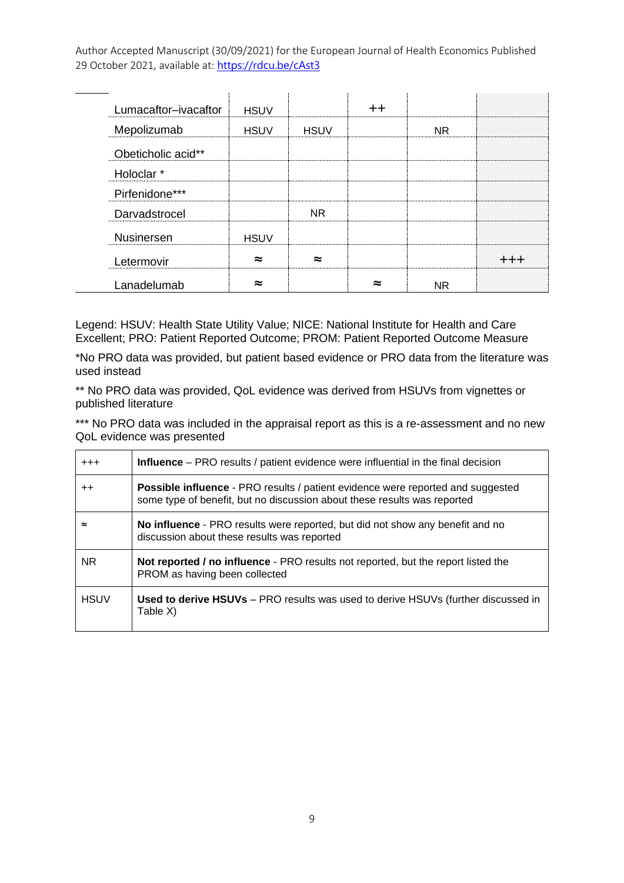| Lumacaftor-ivacaftor  | <b>HSUV</b> |             | $\bm{+}\bm{+}$ |           |  |
|-----------------------|-------------|-------------|----------------|-----------|--|
| Mepolizumab           | <b>HSUV</b> | <b>HSUV</b> |                | NR.       |  |
| Obeticholic acid**    |             |             |                |           |  |
| Holoclar <sup>*</sup> |             |             |                |           |  |
| Pirfenidone***        |             |             |                |           |  |
| Darvadstrocel         |             | <b>NR</b>   |                |           |  |
| Nusinersen            | <b>HSUV</b> |             |                |           |  |
| Letermovir            | $\approx$   | $\approx$   |                |           |  |
| Lanadelumab           | $\approx$   |             | ≈              | <b>NR</b> |  |

Legend: HSUV: Health State Utility Value; NICE: National Institute for Health and Care Excellent; PRO: Patient Reported Outcome; PROM: Patient Reported Outcome Measure

\*No PRO data was provided, but patient based evidence or PRO data from the literature was used instead

\*\* No PRO data was provided, QoL evidence was derived from HSUVs from vignettes or published literature

\*\*\* No PRO data was included in the appraisal report as this is a re-assessment and no new QoL evidence was presented

| $^{+++}$        | <b>Influence</b> – PRO results / patient evidence were influential in the final decision                                                                           |
|-----------------|--------------------------------------------------------------------------------------------------------------------------------------------------------------------|
| $^{\mathrm{+}}$ | <b>Possible influence</b> - PRO results / patient evidence were reported and suggested<br>some type of benefit, but no discussion about these results was reported |
| ≈               | No influence - PRO results were reported, but did not show any benefit and no<br>discussion about these results was reported                                       |
| NR.             | <b>Not reported / no influence</b> - PRO results not reported, but the report listed the<br>PROM as having been collected                                          |
| <b>HSUV</b>     | Used to derive HSUVs - PRO results was used to derive HSUVs (further discussed in<br>Table X)                                                                      |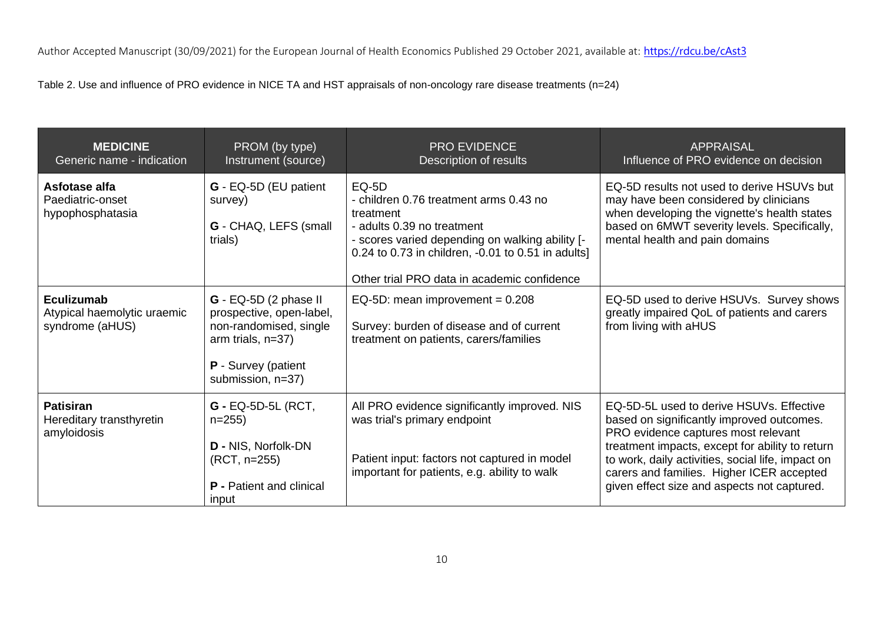Table 2. Use and influence of PRO evidence in NICE TA and HST appraisals of non-oncology rare disease treatments (n=24)

| <b>MEDICINE</b><br>Generic name - indication                        | PROM (by type)<br>Instrument (source)                                                                                                           | <b>PRO EVIDENCE</b><br>Description of results                                                                                                                                                                                                             | <b>APPRAISAL</b><br>Influence of PRO evidence on decision                                                                                                                                                                                                                                                                        |
|---------------------------------------------------------------------|-------------------------------------------------------------------------------------------------------------------------------------------------|-----------------------------------------------------------------------------------------------------------------------------------------------------------------------------------------------------------------------------------------------------------|----------------------------------------------------------------------------------------------------------------------------------------------------------------------------------------------------------------------------------------------------------------------------------------------------------------------------------|
| Asfotase alfa<br>Paediatric-onset<br>hypophosphatasia               | G - EQ-5D (EU patient<br>survey)<br>G - CHAQ, LEFS (small<br>trials)                                                                            | <b>EQ-5D</b><br>- children 0.76 treatment arms 0.43 no<br>treatment<br>- adults 0.39 no treatment<br>- scores varied depending on walking ability [-<br>0.24 to 0.73 in children, -0.01 to 0.51 in adults]<br>Other trial PRO data in academic confidence | EQ-5D results not used to derive HSUVs but<br>may have been considered by clinicians<br>when developing the vignette's health states<br>based on 6MWT severity levels. Specifically,<br>mental health and pain domains                                                                                                           |
| <b>Eculizumab</b><br>Atypical haemolytic uraemic<br>syndrome (aHUS) | G - EQ-5D (2 phase II<br>prospective, open-label,<br>non-randomised, single<br>arm trials, $n=37$ )<br>P - Survey (patient<br>submission, n=37) | EQ-5D: mean improvement = $0.208$<br>Survey: burden of disease and of current<br>treatment on patients, carers/families                                                                                                                                   | EQ-5D used to derive HSUVs. Survey shows<br>greatly impaired QoL of patients and carers<br>from living with aHUS                                                                                                                                                                                                                 |
| <b>Patisiran</b><br>Hereditary transthyretin<br>amyloidosis         | <b>G</b> - EQ-5D-5L (RCT,<br>$n=255$<br><b>D</b> - NIS, Norfolk-DN<br>(RCT, n=255)<br><b>P</b> - Patient and clinical<br>input                  | All PRO evidence significantly improved. NIS<br>was trial's primary endpoint<br>Patient input: factors not captured in model<br>important for patients, e.g. ability to walk                                                                              | EQ-5D-5L used to derive HSUVs. Effective<br>based on significantly improved outcomes.<br>PRO evidence captures most relevant<br>treatment impacts, except for ability to return<br>to work, daily activities, social life, impact on<br>carers and families. Higher ICER accepted<br>given effect size and aspects not captured. |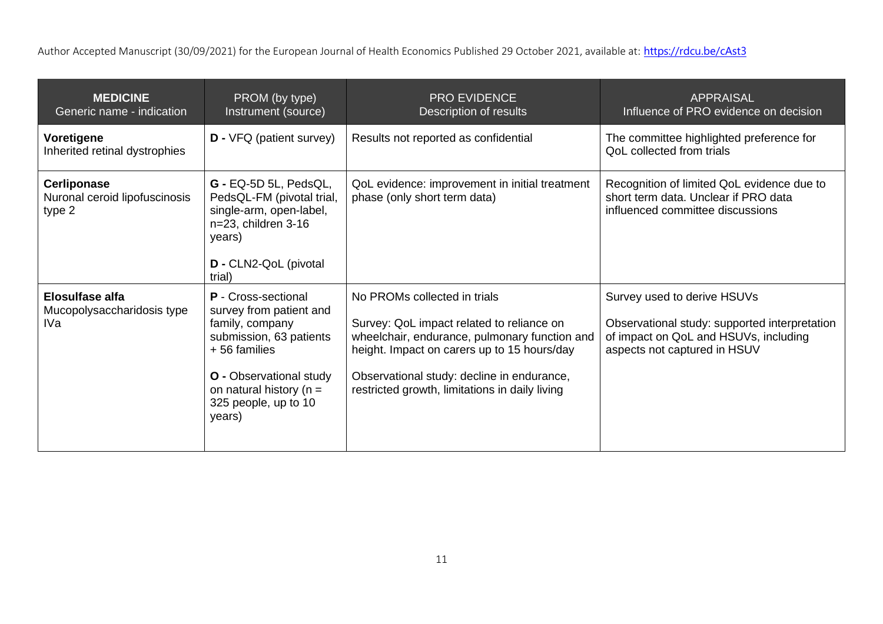| <b>MEDICINE</b><br>Generic name - indication                  | PROM (by type)<br>Instrument (source)                                                                                                                                                                                 | <b>PRO EVIDENCE</b><br>Description of results                                                                                                                                                                                                                             | <b>APPRAISAL</b><br>Influence of PRO evidence on decision                                                                                             |
|---------------------------------------------------------------|-----------------------------------------------------------------------------------------------------------------------------------------------------------------------------------------------------------------------|---------------------------------------------------------------------------------------------------------------------------------------------------------------------------------------------------------------------------------------------------------------------------|-------------------------------------------------------------------------------------------------------------------------------------------------------|
| Voretigene<br>Inherited retinal dystrophies                   | <b>D</b> - VFQ (patient survey)                                                                                                                                                                                       | Results not reported as confidential                                                                                                                                                                                                                                      | The committee highlighted preference for<br>QoL collected from trials                                                                                 |
| <b>Cerliponase</b><br>Nuronal ceroid lipofuscinosis<br>type 2 | G - EQ-5D 5L, PedsQL,<br>PedsQL-FM (pivotal trial,<br>single-arm, open-label,<br>n=23, children 3-16<br>years)<br>D - CLN2-QoL (pivotal<br>trial)                                                                     | QoL evidence: improvement in initial treatment<br>phase (only short term data)                                                                                                                                                                                            | Recognition of limited QoL evidence due to<br>short term data. Unclear if PRO data<br>influenced committee discussions                                |
| <b>Elosulfase alfa</b><br>Mucopolysaccharidosis type<br>IVa   | <b>P</b> - Cross-sectional<br>survey from patient and<br>family, company<br>submission, 63 patients<br>+56 families<br><b>O</b> - Observational study<br>on natural history ( $n =$<br>325 people, up to 10<br>years) | No PROMs collected in trials<br>Survey: QoL impact related to reliance on<br>wheelchair, endurance, pulmonary function and<br>height. Impact on carers up to 15 hours/day<br>Observational study: decline in endurance,<br>restricted growth, limitations in daily living | Survey used to derive HSUVs<br>Observational study: supported interpretation<br>of impact on QoL and HSUVs, including<br>aspects not captured in HSUV |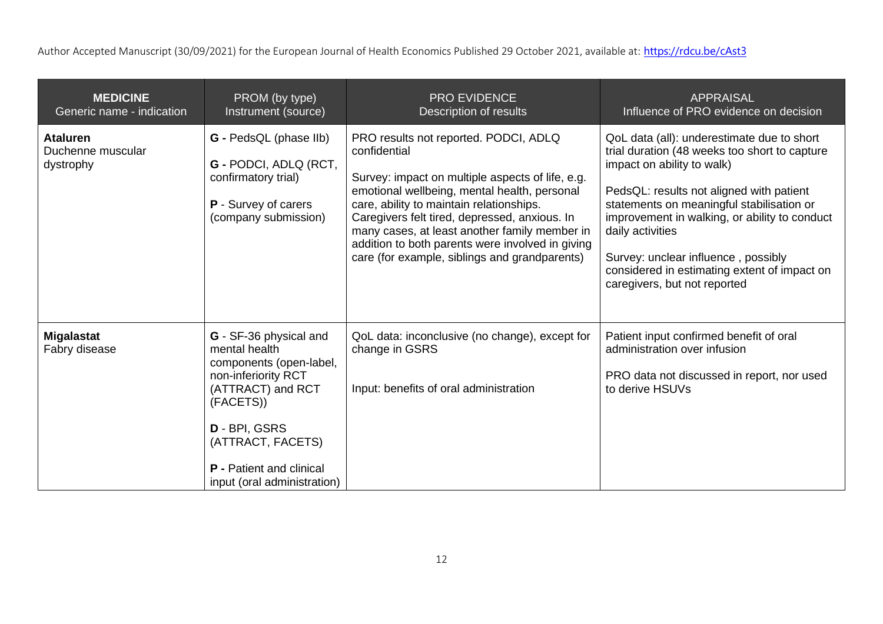| <b>MEDICINE</b><br>Generic name - indication      | PROM (by type)<br>Instrument (source)                                                                                                                                                                                               | <b>PRO EVIDENCE</b><br>Description of results                                                                                                                                                                                                                                                                                                                                                                | <b>APPRAISAL</b><br>Influence of PRO evidence on decision                                                                                                                                                                                                                                                                                                                                                      |
|---------------------------------------------------|-------------------------------------------------------------------------------------------------------------------------------------------------------------------------------------------------------------------------------------|--------------------------------------------------------------------------------------------------------------------------------------------------------------------------------------------------------------------------------------------------------------------------------------------------------------------------------------------------------------------------------------------------------------|----------------------------------------------------------------------------------------------------------------------------------------------------------------------------------------------------------------------------------------------------------------------------------------------------------------------------------------------------------------------------------------------------------------|
| <b>Ataluren</b><br>Duchenne muscular<br>dystrophy | <b>G</b> - PedsQL (phase IIb)<br>G - PODCI, ADLQ (RCT,<br>confirmatory trial)<br><b>P</b> - Survey of carers<br>(company submission)                                                                                                | PRO results not reported. PODCI, ADLQ<br>confidential<br>Survey: impact on multiple aspects of life, e.g.<br>emotional wellbeing, mental health, personal<br>care, ability to maintain relationships.<br>Caregivers felt tired, depressed, anxious. In<br>many cases, at least another family member in<br>addition to both parents were involved in giving<br>care (for example, siblings and grandparents) | QoL data (all): underestimate due to short<br>trial duration (48 weeks too short to capture<br>impact on ability to walk)<br>PedsQL: results not aligned with patient<br>statements on meaningful stabilisation or<br>improvement in walking, or ability to conduct<br>daily activities<br>Survey: unclear influence, possibly<br>considered in estimating extent of impact on<br>caregivers, but not reported |
| <b>Migalastat</b><br>Fabry disease                | G - SF-36 physical and<br>mental health<br>components (open-label,<br>non-inferiority RCT<br>(ATTRACT) and RCT<br>(FACETS))<br>D - BPI, GSRS<br>(ATTRACT, FACETS)<br><b>P</b> - Patient and clinical<br>input (oral administration) | QoL data: inconclusive (no change), except for<br>change in GSRS<br>Input: benefits of oral administration                                                                                                                                                                                                                                                                                                   | Patient input confirmed benefit of oral<br>administration over infusion<br>PRO data not discussed in report, nor used<br>to derive HSUVs                                                                                                                                                                                                                                                                       |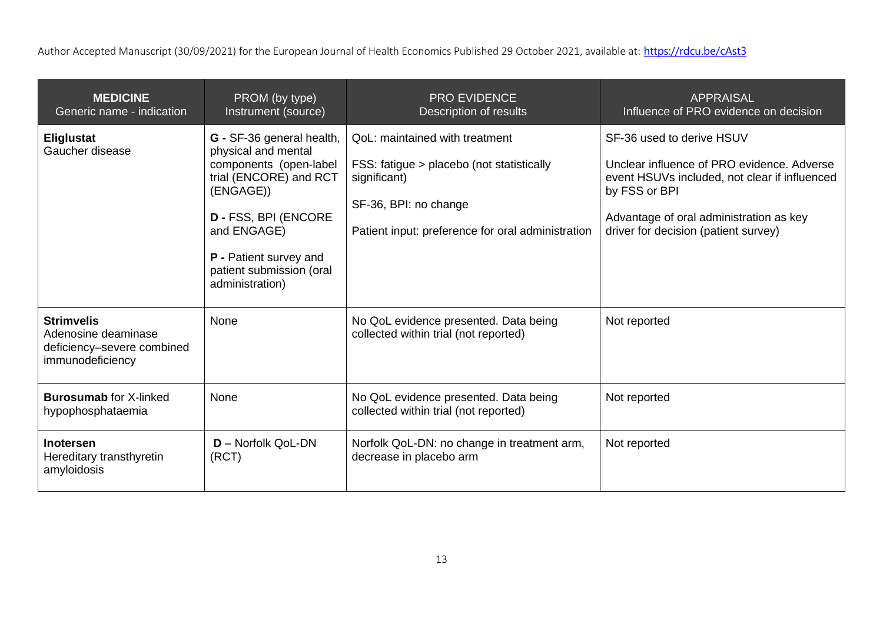| <b>MEDICINE</b><br>Generic name - indication                                               | PROM (by type)<br>Instrument (source)                                                                                                                                                                                                    | <b>PRO EVIDENCE</b><br>Description of results                                                                                                                             | <b>APPRAISAL</b><br>Influence of PRO evidence on decision                                                                                                                                                                    |
|--------------------------------------------------------------------------------------------|------------------------------------------------------------------------------------------------------------------------------------------------------------------------------------------------------------------------------------------|---------------------------------------------------------------------------------------------------------------------------------------------------------------------------|------------------------------------------------------------------------------------------------------------------------------------------------------------------------------------------------------------------------------|
| Eliglustat<br>Gaucher disease                                                              | G - SF-36 general health,<br>physical and mental<br>components (open-label<br>trial (ENCORE) and RCT<br>(ENGAGE))<br><b>D - FSS, BPI (ENCORE</b><br>and ENGAGE)<br>P - Patient survey and<br>patient submission (oral<br>administration) | QoL: maintained with treatment<br>FSS: fatigue > placebo (not statistically<br>significant)<br>SF-36, BPI: no change<br>Patient input: preference for oral administration | SF-36 used to derive HSUV<br>Unclear influence of PRO evidence. Adverse<br>event HSUVs included, not clear if influenced<br>by FSS or BPI<br>Advantage of oral administration as key<br>driver for decision (patient survey) |
| <b>Strimvelis</b><br>Adenosine deaminase<br>deficiency-severe combined<br>immunodeficiency | None                                                                                                                                                                                                                                     | No QoL evidence presented. Data being<br>collected within trial (not reported)                                                                                            | Not reported                                                                                                                                                                                                                 |
| <b>Burosumab for X-linked</b><br>hypophosphataemia                                         | None                                                                                                                                                                                                                                     | No QoL evidence presented. Data being<br>collected within trial (not reported)                                                                                            | Not reported                                                                                                                                                                                                                 |
| <b>Inotersen</b><br>Hereditary transthyretin<br>amyloidosis                                | <b>D</b> - Norfolk QoL-DN<br>(RCT)                                                                                                                                                                                                       | Norfolk QoL-DN: no change in treatment arm,<br>decrease in placebo arm                                                                                                    | Not reported                                                                                                                                                                                                                 |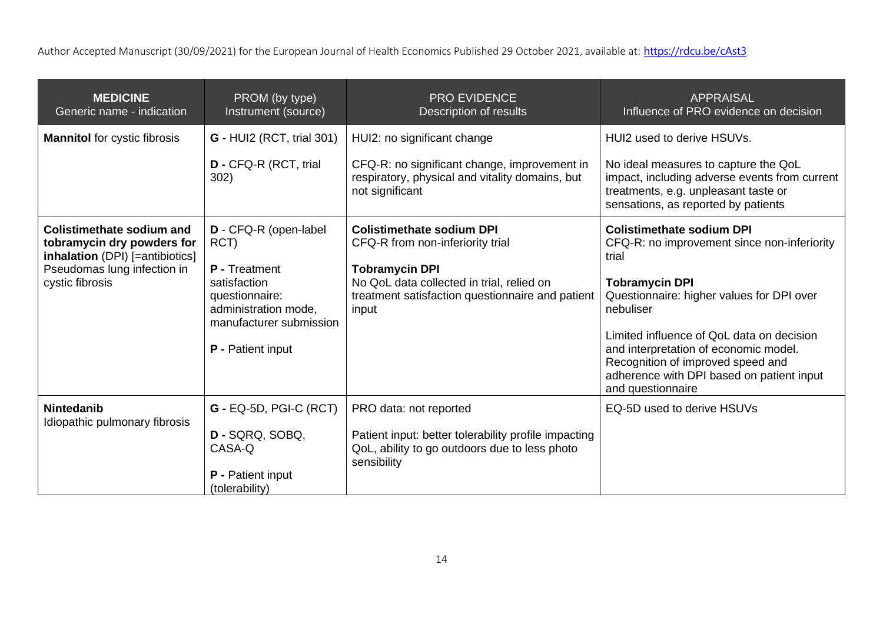| <b>MEDICINE</b><br>Generic name - indication                                                                                                        | PROM (by type)<br>Instrument (source)                                                                                                                    | <b>PRO EVIDENCE</b><br>Description of results                                                                                                                                                           | <b>APPRAISAL</b><br>Influence of PRO evidence on decision                                                                                                                                                                                                                                                                                                                |
|-----------------------------------------------------------------------------------------------------------------------------------------------------|----------------------------------------------------------------------------------------------------------------------------------------------------------|---------------------------------------------------------------------------------------------------------------------------------------------------------------------------------------------------------|--------------------------------------------------------------------------------------------------------------------------------------------------------------------------------------------------------------------------------------------------------------------------------------------------------------------------------------------------------------------------|
| <b>Mannitol</b> for cystic fibrosis                                                                                                                 | <b>G</b> - HUI2 (RCT, trial 301)                                                                                                                         | HUI2: no significant change                                                                                                                                                                             | HUI2 used to derive HSUVs.                                                                                                                                                                                                                                                                                                                                               |
|                                                                                                                                                     | <b>D</b> - CFQ-R (RCT, trial<br>302)                                                                                                                     | CFQ-R: no significant change, improvement in<br>respiratory, physical and vitality domains, but<br>not significant                                                                                      | No ideal measures to capture the QoL<br>impact, including adverse events from current<br>treatments, e.g. unpleasant taste or<br>sensations, as reported by patients                                                                                                                                                                                                     |
| <b>Colistimethate sodium and</b><br>tobramycin dry powders for<br>inhalation (DPI) [=antibiotics]<br>Pseudomas lung infection in<br>cystic fibrosis | D - CFQ-R (open-label<br>RCT)<br>P - Treatment<br>satisfaction<br>questionnaire:<br>administration mode,<br>manufacturer submission<br>P - Patient input | <b>Colistimethate sodium DPI</b><br>CFQ-R from non-inferiority trial<br><b>Tobramycin DPI</b><br>No QoL data collected in trial, relied on<br>treatment satisfaction questionnaire and patient<br>input | <b>Colistimethate sodium DPI</b><br>CFQ-R: no improvement since non-inferiority<br>trial<br><b>Tobramycin DPI</b><br>Questionnaire: higher values for DPI over<br>nebuliser<br>Limited influence of QoL data on decision<br>and interpretation of economic model.<br>Recognition of improved speed and<br>adherence with DPI based on patient input<br>and questionnaire |
| <b>Nintedanib</b><br>Idiopathic pulmonary fibrosis                                                                                                  | <b>G - EQ-5D, PGI-C (RCT)</b><br>D - SQRQ, SOBQ,<br>CASA-Q<br><b>P</b> - Patient input<br>(tolerability)                                                 | PRO data: not reported<br>Patient input: better tolerability profile impacting<br>QoL, ability to go outdoors due to less photo<br>sensibility                                                          | EQ-5D used to derive HSUVs                                                                                                                                                                                                                                                                                                                                               |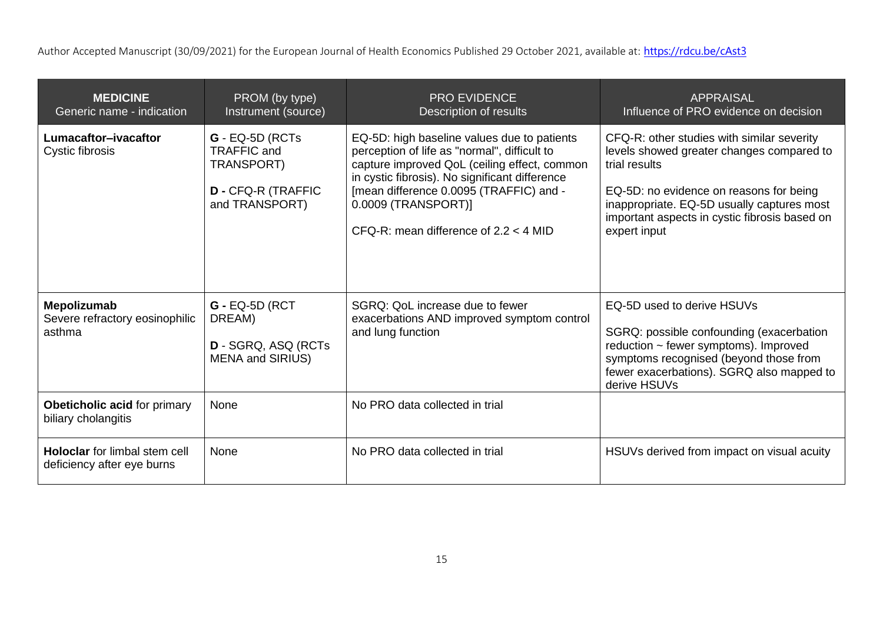| <b>MEDICINE</b><br>Generic name - indication                       | PROM (by type)<br>Instrument (source)                                                         | <b>PRO EVIDENCE</b><br>Description of results                                                                                                                                                                                                                                                              | <b>APPRAISAL</b><br>Influence of PRO evidence on decision                                                                                                                                                                                                          |
|--------------------------------------------------------------------|-----------------------------------------------------------------------------------------------|------------------------------------------------------------------------------------------------------------------------------------------------------------------------------------------------------------------------------------------------------------------------------------------------------------|--------------------------------------------------------------------------------------------------------------------------------------------------------------------------------------------------------------------------------------------------------------------|
| Lumacaftor-ivacaftor<br>Cystic fibrosis                            | $G - EQ-5D$ (RCTs<br>TRAFFIC and<br>TRANSPORT)<br><b>D - CFQ-R (TRAFFIC</b><br>and TRANSPORT) | EQ-5D: high baseline values due to patients<br>perception of life as "normal", difficult to<br>capture improved QoL (ceiling effect, common<br>in cystic fibrosis). No significant difference<br>[mean difference 0.0095 (TRAFFIC) and -<br>0.0009 (TRANSPORT)]<br>CFQ-R: mean difference of $2.2 < 4$ MID | CFQ-R: other studies with similar severity<br>levels showed greater changes compared to<br>trial results<br>EQ-5D: no evidence on reasons for being<br>inappropriate. EQ-5D usually captures most<br>important aspects in cystic fibrosis based on<br>expert input |
| Mepolizumab<br>Severe refractory eosinophilic<br>asthma            | $G - EQ-5D (RCT)$<br>DREAM)<br><b>D</b> - SGRQ, ASQ (RCTs<br><b>MENA and SIRIUS)</b>          | SGRQ: QoL increase due to fewer<br>exacerbations AND improved symptom control<br>and lung function                                                                                                                                                                                                         | EQ-5D used to derive HSUVs<br>SGRQ: possible confounding (exacerbation<br>reduction ~ fewer symptoms). Improved<br>symptoms recognised (beyond those from<br>fewer exacerbations). SGRQ also mapped to<br>derive HSUVs                                             |
| <b>Obeticholic acid for primary</b><br>biliary cholangitis         | None                                                                                          | No PRO data collected in trial                                                                                                                                                                                                                                                                             |                                                                                                                                                                                                                                                                    |
| <b>Holoclar</b> for limbal stem cell<br>deficiency after eye burns | None                                                                                          | No PRO data collected in trial                                                                                                                                                                                                                                                                             | HSUVs derived from impact on visual acuity                                                                                                                                                                                                                         |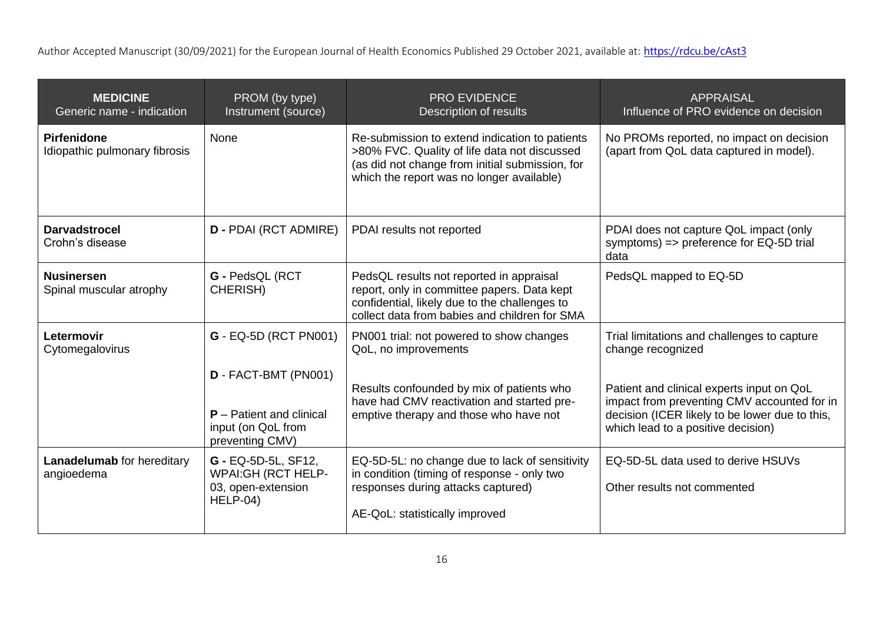| <b>MEDICINE</b><br>Generic name - indication        | PROM (by type)<br>Instrument (source)                                                       | <b>PRO EVIDENCE</b><br>Description of results                                                                                                                                                  | <b>APPRAISAL</b><br>Influence of PRO evidence on decision                                                                                                                        |
|-----------------------------------------------------|---------------------------------------------------------------------------------------------|------------------------------------------------------------------------------------------------------------------------------------------------------------------------------------------------|----------------------------------------------------------------------------------------------------------------------------------------------------------------------------------|
| <b>Pirfenidone</b><br>Idiopathic pulmonary fibrosis | <b>None</b>                                                                                 | Re-submission to extend indication to patients<br>>80% FVC. Quality of life data not discussed<br>(as did not change from initial submission, for<br>which the report was no longer available) | No PROMs reported, no impact on decision<br>(apart from QoL data captured in model).                                                                                             |
| <b>Darvadstrocel</b><br>Crohn's disease             | <b>D - PDAI (RCT ADMIRE)</b>                                                                | PDAI results not reported                                                                                                                                                                      | PDAI does not capture QoL impact (only<br>symptoms) => preference for EQ-5D trial<br>data                                                                                        |
| <b>Nusinersen</b><br>Spinal muscular atrophy        | G - PedsQL (RCT<br>CHERISH)                                                                 | PedsQL results not reported in appraisal<br>report, only in committee papers. Data kept<br>confidential, likely due to the challenges to<br>collect data from babies and children for SMA      | PedsQL mapped to EQ-5D                                                                                                                                                           |
| Letermovir<br>Cytomegalovirus                       | <b>G</b> - EQ-5D (RCT PN001)                                                                | PN001 trial: not powered to show changes<br>QoL, no improvements                                                                                                                               | Trial limitations and challenges to capture<br>change recognized                                                                                                                 |
|                                                     | D - FACT-BMT (PN001)<br>$P -$ Patient and clinical<br>input (on QoL from<br>preventing CMV) | Results confounded by mix of patients who<br>have had CMV reactivation and started pre-<br>emptive therapy and those who have not                                                              | Patient and clinical experts input on QoL<br>impact from preventing CMV accounted for in<br>decision (ICER likely to be lower due to this,<br>which lead to a positive decision) |
| <b>Lanadelumab</b> for hereditary<br>angioedema     | G - EQ-5D-5L, SF12,<br><b>WPAI:GH (RCT HELP-</b><br>03, open-extension<br>HELP-04)          | EQ-5D-5L: no change due to lack of sensitivity<br>in condition (timing of response - only two<br>responses during attacks captured)<br>AE-QoL: statistically improved                          | EQ-5D-5L data used to derive HSUVs<br>Other results not commented                                                                                                                |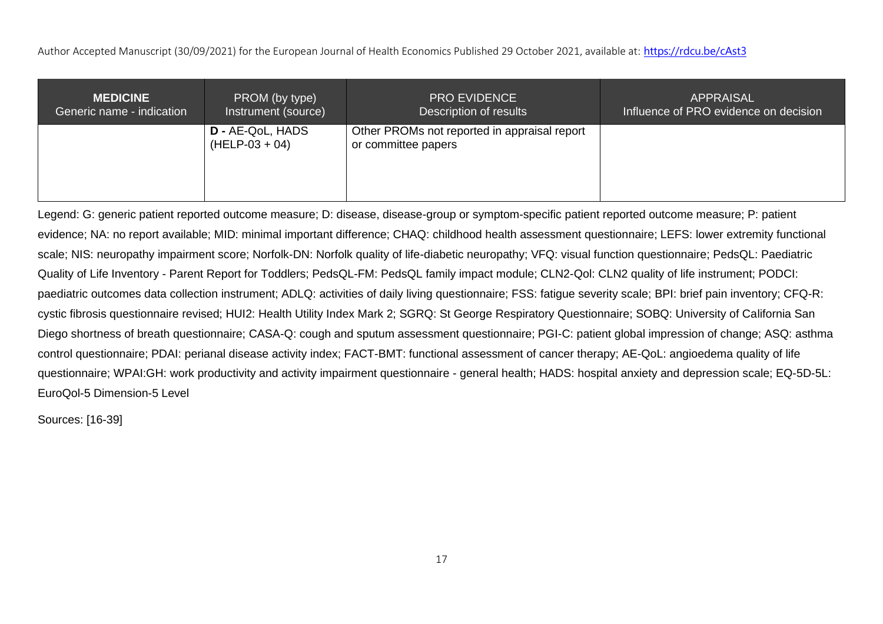| <b>MEDICINE</b>           | PROM (by type)                              | <b>PRO EVIDENCE</b>                                                 | <b>APPRAISAL</b>                      |
|---------------------------|---------------------------------------------|---------------------------------------------------------------------|---------------------------------------|
| Generic name - indication | Instrument (source)                         | Description of results                                              | Influence of PRO evidence on decision |
|                           | <b>D</b> - AE-QoL, HADS<br>$(HELP-03 + 04)$ | Other PROMs not reported in appraisal report<br>or committee papers |                                       |

Legend: G: generic patient reported outcome measure; D: disease, disease-group or symptom-specific patient reported outcome measure; P: patient evidence; NA: no report available; MID: minimal important difference; CHAQ: childhood health assessment questionnaire; LEFS: lower extremity functional scale; NIS: neuropathy impairment score; Norfolk-DN: Norfolk quality of life-diabetic neuropathy; VFQ: visual function questionnaire; PedsQL: Paediatric Quality of Life Inventory - Parent Report for Toddlers; PedsQL-FM: PedsQL family impact module; CLN2-Qol: CLN2 quality of life instrument; PODCI: paediatric outcomes data collection instrument; ADLQ: activities of daily living questionnaire; FSS: fatigue severity scale; BPI: brief pain inventory; CFQ-R: cystic fibrosis questionnaire revised; HUI2: Health Utility Index Mark 2; SGRQ: St George Respiratory Questionnaire; SOBQ: University of California San Diego shortness of breath questionnaire; CASA-Q: cough and sputum assessment questionnaire; PGI-C: patient global impression of change; ASQ: asthma control questionnaire; PDAI: perianal disease activity index; FACT-BMT: functional assessment of cancer therapy; AE-QoL: angioedema quality of life questionnaire; WPAI:GH: work productivity and activity impairment questionnaire - general health; HADS: hospital anxiety and depression scale; EQ-5D-5L: EuroQol-5 Dimension-5 Level

Sources: [16-39]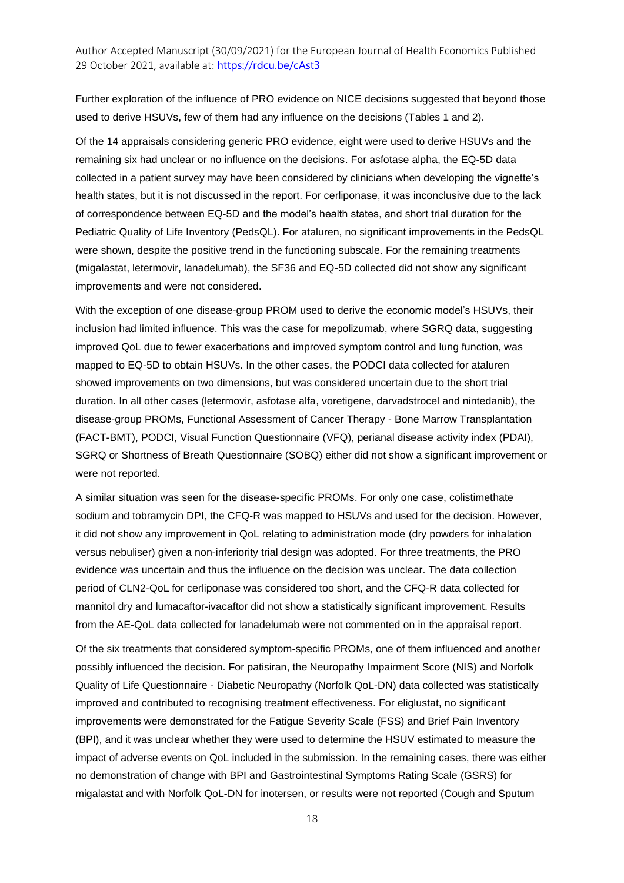Further exploration of the influence of PRO evidence on NICE decisions suggested that beyond those used to derive HSUVs, few of them had any influence on the decisions (Tables 1 and 2).

Of the 14 appraisals considering generic PRO evidence, eight were used to derive HSUVs and the remaining six had unclear or no influence on the decisions. For asfotase alpha, the EQ-5D data collected in a patient survey may have been considered by clinicians when developing the vignette's health states, but it is not discussed in the report. For cerliponase, it was inconclusive due to the lack of correspondence between EQ-5D and the model's health states, and short trial duration for the Pediatric Quality of Life Inventory (PedsQL). For ataluren, no significant improvements in the PedsQL were shown, despite the positive trend in the functioning subscale. For the remaining treatments (migalastat, letermovir, lanadelumab), the SF36 and EQ-5D collected did not show any significant improvements and were not considered.

With the exception of one disease-group PROM used to derive the economic model's HSUVs, their inclusion had limited influence. This was the case for mepolizumab, where SGRQ data, suggesting improved QoL due to fewer exacerbations and improved symptom control and lung function, was mapped to EQ-5D to obtain HSUVs. In the other cases, the PODCI data collected for ataluren showed improvements on two dimensions, but was considered uncertain due to the short trial duration. In all other cases (letermovir, asfotase alfa, voretigene, darvadstrocel and nintedanib), the disease-group PROMs, Functional Assessment of Cancer Therapy - Bone Marrow Transplantation (FACT-BMT), PODCI, Visual Function Questionnaire (VFQ), perianal disease activity index (PDAI), SGRQ or Shortness of Breath Questionnaire (SOBQ) either did not show a significant improvement or were not reported.

A similar situation was seen for the disease-specific PROMs. For only one case, colistimethate sodium and tobramycin DPI, the CFQ-R was mapped to HSUVs and used for the decision. However, it did not show any improvement in QoL relating to administration mode (dry powders for inhalation versus nebuliser) given a non-inferiority trial design was adopted. For three treatments, the PRO evidence was uncertain and thus the influence on the decision was unclear. The data collection period of CLN2-QoL for cerliponase was considered too short, and the CFQ-R data collected for mannitol dry and lumacaftor-ivacaftor did not show a statistically significant improvement. Results from the AE-QoL data collected for lanadelumab were not commented on in the appraisal report.

Of the six treatments that considered symptom-specific PROMs, one of them influenced and another possibly influenced the decision. For patisiran, the Neuropathy Impairment Score (NIS) and Norfolk Quality of Life Questionnaire - Diabetic Neuropathy (Norfolk QoL-DN) data collected was statistically improved and contributed to recognising treatment effectiveness. For eliglustat, no significant improvements were demonstrated for the Fatigue Severity Scale (FSS) and Brief Pain Inventory (BPI), and it was unclear whether they were used to determine the HSUV estimated to measure the impact of adverse events on QoL included in the submission. In the remaining cases, there was either no demonstration of change with BPI and Gastrointestinal Symptoms Rating Scale (GSRS) for migalastat and with Norfolk QoL-DN for inotersen, or results were not reported (Cough and Sputum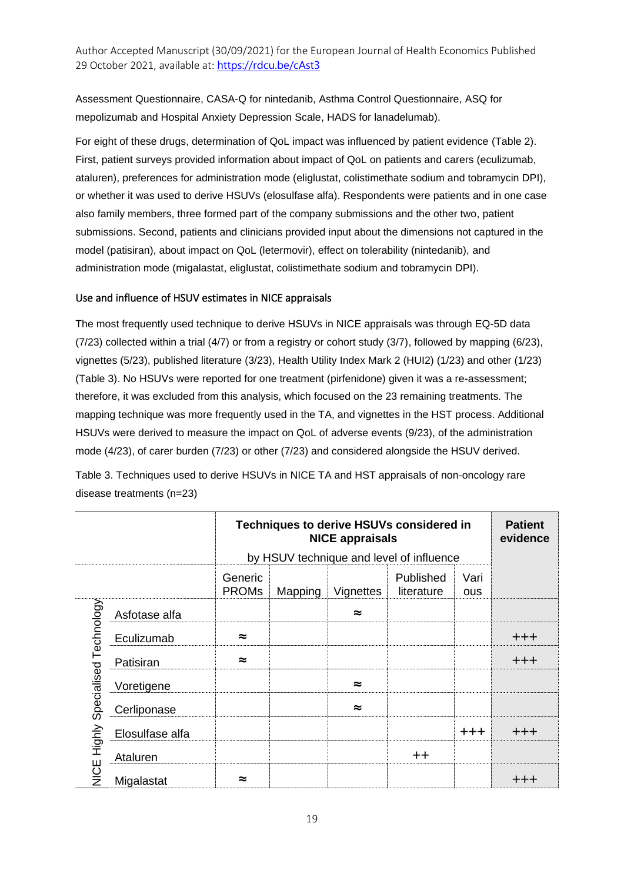Assessment Questionnaire, CASA-Q for nintedanib, Asthma Control Questionnaire, ASQ for mepolizumab and Hospital Anxiety Depression Scale, HADS for lanadelumab).

For eight of these drugs, determination of QoL impact was influenced by patient evidence (Table 2). First, patient surveys provided information about impact of QoL on patients and carers (eculizumab, ataluren), preferences for administration mode (eliglustat, colistimethate sodium and tobramycin DPI), or whether it was used to derive HSUVs (elosulfase alfa). Respondents were patients and in one case also family members, three formed part of the company submissions and the other two, patient submissions. Second, patients and clinicians provided input about the dimensions not captured in the model (patisiran), about impact on QoL (letermovir), effect on tolerability (nintedanib), and administration mode (migalastat, eliglustat, colistimethate sodium and tobramycin DPI).

#### Use and influence of HSUV estimates in NICE appraisals

The most frequently used technique to derive HSUVs in NICE appraisals was through EQ-5D data (7/23) collected within a trial (4/7) or from a registry or cohort study (3/7), followed by mapping (6/23), vignettes (5/23), published literature (3/23), Health Utility Index Mark 2 (HUI2) (1/23) and other (1/23) (Table 3). No HSUVs were reported for one treatment (pirfenidone) given it was a re-assessment; therefore, it was excluded from this analysis, which focused on the 23 remaining treatments. The mapping technique was more frequently used in the TA, and vignettes in the HST process. Additional HSUVs were derived to measure the impact on QoL of adverse events (9/23), of the administration mode (4/23), of carer burden (7/23) or other (7/23) and considered alongside the HSUV derived.

Table 3. Techniques used to derive HSUVs in NICE TA and HST appraisals of non-oncology rare disease treatments (n=23)

|                                    |                 | Techniques to derive HSUVs considered in | <b>Patient</b><br>evidence                                     |           |                                          |         |                   |  |
|------------------------------------|-----------------|------------------------------------------|----------------------------------------------------------------|-----------|------------------------------------------|---------|-------------------|--|
|                                    |                 |                                          |                                                                |           | by HSUV technique and level of influence |         |                   |  |
|                                    |                 | Generic<br><b>PROMs</b>                  | Published<br>Vari<br>Vignettes<br>literature<br>Mapping<br>ous |           |                                          |         |                   |  |
|                                    | Asfotase alfa   |                                          |                                                                | $\approx$ |                                          |         |                   |  |
| NICE Highly Specialised Technology | Eculizumab      | $\approx$                                |                                                                |           |                                          |         | $+ + +$           |  |
|                                    | Patisiran       | $\approx$                                |                                                                |           |                                          |         | $+ + +$           |  |
|                                    | Voretigene      |                                          |                                                                | $\approx$ |                                          |         |                   |  |
|                                    | Cerliponase     |                                          |                                                                | $\approx$ |                                          |         |                   |  |
|                                    | Elosulfase alfa |                                          |                                                                |           |                                          | $+ + +$ | $^{\mathrm{+++}}$ |  |
|                                    | Ataluren        |                                          |                                                                |           | $+ +$                                    |         |                   |  |
|                                    | Migalastat      | ≈                                        |                                                                |           |                                          |         | +++               |  |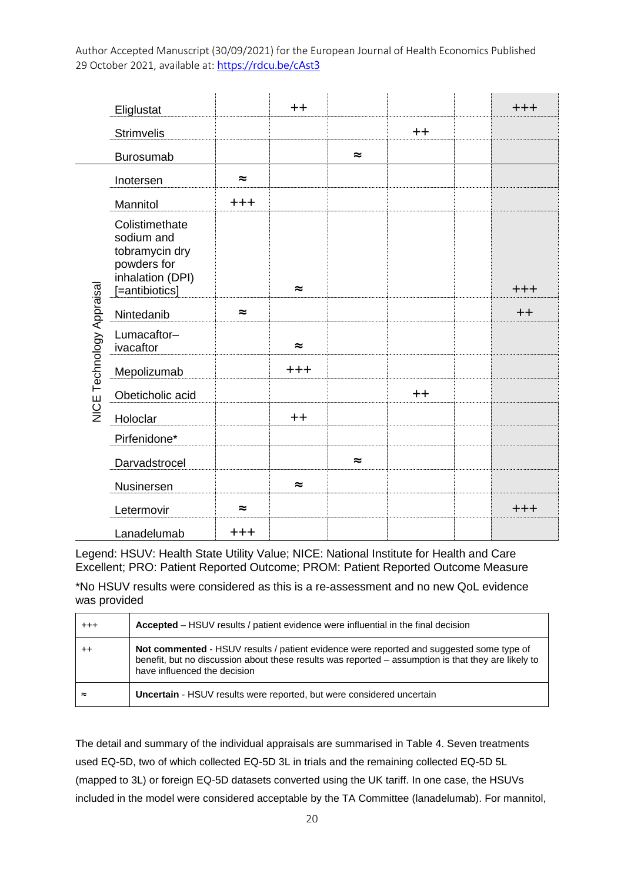|                           | Eliglustat                                                                                          |           | $++$      |           |                  | $+ + +$ |
|---------------------------|-----------------------------------------------------------------------------------------------------|-----------|-----------|-----------|------------------|---------|
|                           | <b>Strimvelis</b>                                                                                   |           |           |           | $^{\mathrm{++}}$ |         |
|                           | <b>Burosumab</b>                                                                                    |           |           | $\approx$ |                  |         |
|                           | Inotersen                                                                                           | $\approx$ |           |           |                  |         |
|                           | Mannitol                                                                                            | $+ + +$   |           |           |                  |         |
|                           | Colistimethate<br>sodium and<br>tobramycin dry<br>powders for<br>inhalation (DPI)<br>[=antibiotics] |           | $\approx$ |           |                  | $+ + +$ |
|                           | Nintedanib                                                                                          | $\approx$ |           |           |                  | $++$    |
|                           | Lumacaftor-<br>ivacaftor                                                                            |           | $\approx$ |           |                  |         |
|                           | Mepolizumab                                                                                         |           | $+ + +$   |           |                  |         |
| NICE Technology Appraisal | Obeticholic acid                                                                                    |           |           |           | $^{\mathrm{++}}$ |         |
|                           | Holoclar                                                                                            |           | $++$      |           |                  |         |
|                           | Pirfenidone*                                                                                        |           |           |           |                  |         |
|                           | Darvadstrocel                                                                                       |           |           | $\approx$ |                  |         |
|                           | Nusinersen                                                                                          |           | $\approx$ |           |                  |         |
|                           | Letermovir                                                                                          | $\approx$ |           |           |                  | $+ + +$ |
|                           | Lanadelumab                                                                                         | $+ + +$   |           |           |                  |         |

Legend: HSUV: Health State Utility Value; NICE: National Institute for Health and Care Excellent; PRO: Patient Reported Outcome; PROM: Patient Reported Outcome Measure

\*No HSUV results were considered as this is a re-assessment and no new QoL evidence was provided

| $^{++}$   | <b>Accepted</b> – HSUV results / patient evidence were influential in the final decision                                                                                                                                        |
|-----------|---------------------------------------------------------------------------------------------------------------------------------------------------------------------------------------------------------------------------------|
| ++        | Not commented - HSUV results / patient evidence were reported and suggested some type of<br>benefit, but no discussion about these results was reported - assumption is that they are likely to<br>have influenced the decision |
| $\approx$ | <b>Uncertain</b> - HSUV results were reported, but were considered uncertain                                                                                                                                                    |

The detail and summary of the individual appraisals are summarised in Table 4. Seven treatments used EQ-5D, two of which collected EQ-5D 3L in trials and the remaining collected EQ-5D 5L (mapped to 3L) or foreign EQ-5D datasets converted using the UK tariff. In one case, the HSUVs included in the model were considered acceptable by the TA Committee (lanadelumab). For mannitol,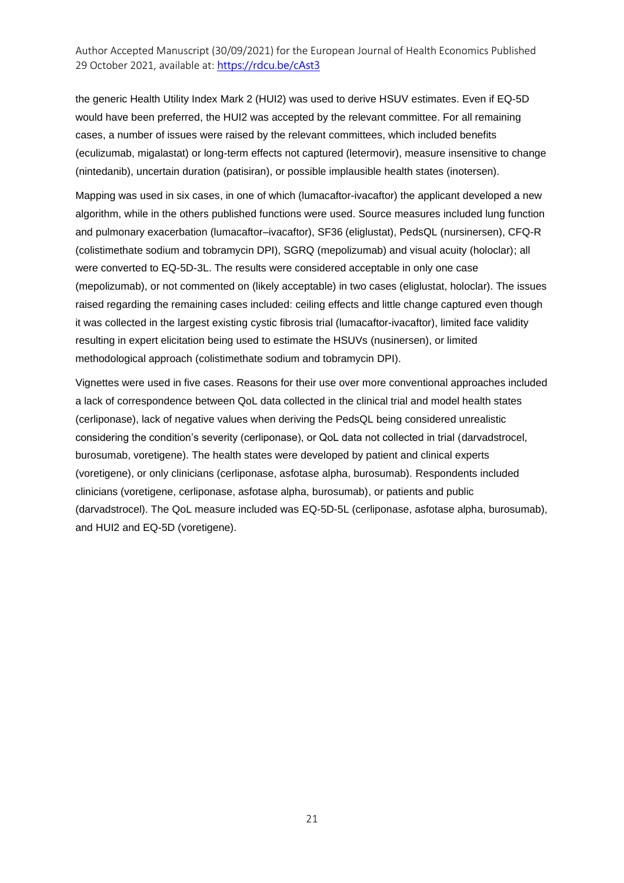the generic Health Utility Index Mark 2 (HUI2) was used to derive HSUV estimates. Even if EQ-5D would have been preferred, the HUI2 was accepted by the relevant committee. For all remaining cases, a number of issues were raised by the relevant committees, which included benefits (eculizumab, migalastat) or long-term effects not captured (letermovir), measure insensitive to change (nintedanib), uncertain duration (patisiran), or possible implausible health states (inotersen).

Mapping was used in six cases, in one of which (lumacaftor-ivacaftor) the applicant developed a new algorithm, while in the others published functions were used. Source measures included lung function and pulmonary exacerbation (lumacaftor–ivacaftor), SF36 (eliglustat), PedsQL (nursinersen), CFQ-R (colistimethate sodium and tobramycin DPI), SGRQ (mepolizumab) and visual acuity (holoclar); all were converted to EQ-5D-3L. The results were considered acceptable in only one case (mepolizumab), or not commented on (likely acceptable) in two cases (eliglustat, holoclar). The issues raised regarding the remaining cases included: ceiling effects and little change captured even though it was collected in the largest existing cystic fibrosis trial (lumacaftor-ivacaftor), limited face validity resulting in expert elicitation being used to estimate the HSUVs (nusinersen), or limited methodological approach (colistimethate sodium and tobramycin DPI).

Vignettes were used in five cases. Reasons for their use over more conventional approaches included a lack of correspondence between QoL data collected in the clinical trial and model health states (cerliponase), lack of negative values when deriving the PedsQL being considered unrealistic considering the condition's severity (cerliponase), or QoL data not collected in trial (darvadstrocel, burosumab, voretigene). The health states were developed by patient and clinical experts (voretigene), or only clinicians (cerliponase, asfotase alpha, burosumab). Respondents included clinicians (voretigene, cerliponase, asfotase alpha, burosumab), or patients and public (darvadstrocel). The QoL measure included was EQ-5D-5L (cerliponase, asfotase alpha, burosumab), and HUI2 and EQ-5D (voretigene).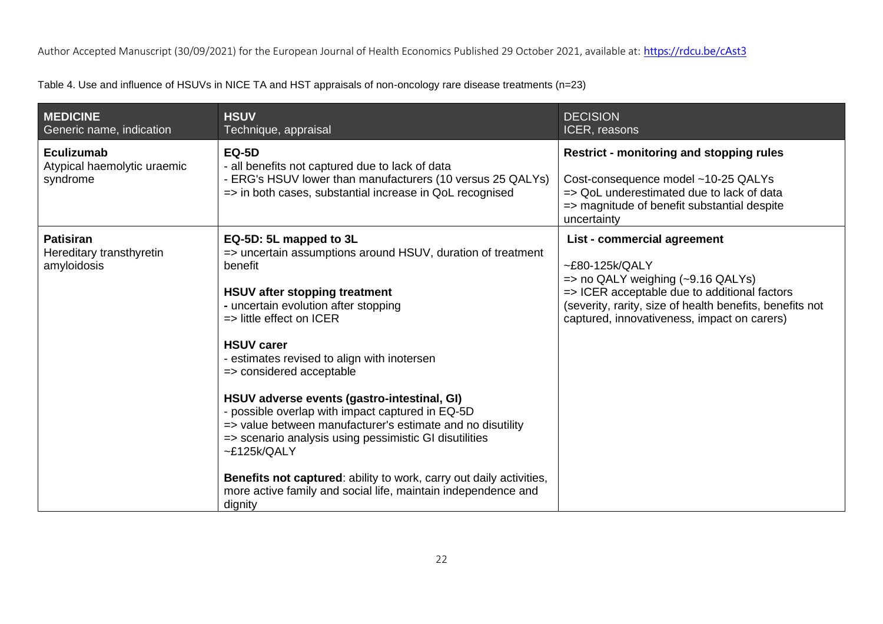Table 4. Use and influence of HSUVs in NICE TA and HST appraisals of non-oncology rare disease treatments (n=23)

| <b>MEDICINE</b><br>Generic name, indication                 | <b>HSUV</b><br>Technique, appraisal                                                                                                                                                                                                                                                                                                                                    | <b>DECISION</b><br>ICER, reasons                                                                                                                                                                                                                            |
|-------------------------------------------------------------|------------------------------------------------------------------------------------------------------------------------------------------------------------------------------------------------------------------------------------------------------------------------------------------------------------------------------------------------------------------------|-------------------------------------------------------------------------------------------------------------------------------------------------------------------------------------------------------------------------------------------------------------|
| Eculizumab<br>Atypical haemolytic uraemic<br>syndrome       | <b>EQ-5D</b><br>- all benefits not captured due to lack of data<br>- ERG's HSUV lower than manufacturers (10 versus 25 QALYs)<br>=> in both cases, substantial increase in QoL recognised                                                                                                                                                                              | <b>Restrict - monitoring and stopping rules</b><br>Cost-consequence model ~10-25 QALYs<br>=> QoL underestimated due to lack of data<br>=> magnitude of benefit substantial despite<br>uncertainty                                                           |
| <b>Patisiran</b><br>Hereditary transthyretin<br>amyloidosis | EQ-5D: 5L mapped to 3L<br>=> uncertain assumptions around HSUV, duration of treatment<br>benefit<br><b>HSUV after stopping treatment</b><br>- uncertain evolution after stopping<br>$\Rightarrow$ little effect on ICER<br><b>HSUV carer</b><br>- estimates revised to align with inotersen<br>=> considered acceptable<br>HSUV adverse events (gastro-intestinal, GI) | List - commercial agreement<br>$~E80-125$ k/QALY<br>$\Rightarrow$ no QALY weighing (~9.16 QALYs)<br>=> ICER acceptable due to additional factors<br>(severity, rarity, size of health benefits, benefits not<br>captured, innovativeness, impact on carers) |
|                                                             | - possible overlap with impact captured in EQ-5D<br>=> value between manufacturer's estimate and no disutility<br>=> scenario analysis using pessimistic GI disutilities<br>E125k/QALY<br>Benefits not captured: ability to work, carry out daily activities,<br>more active family and social life, maintain independence and<br>dignity                              |                                                                                                                                                                                                                                                             |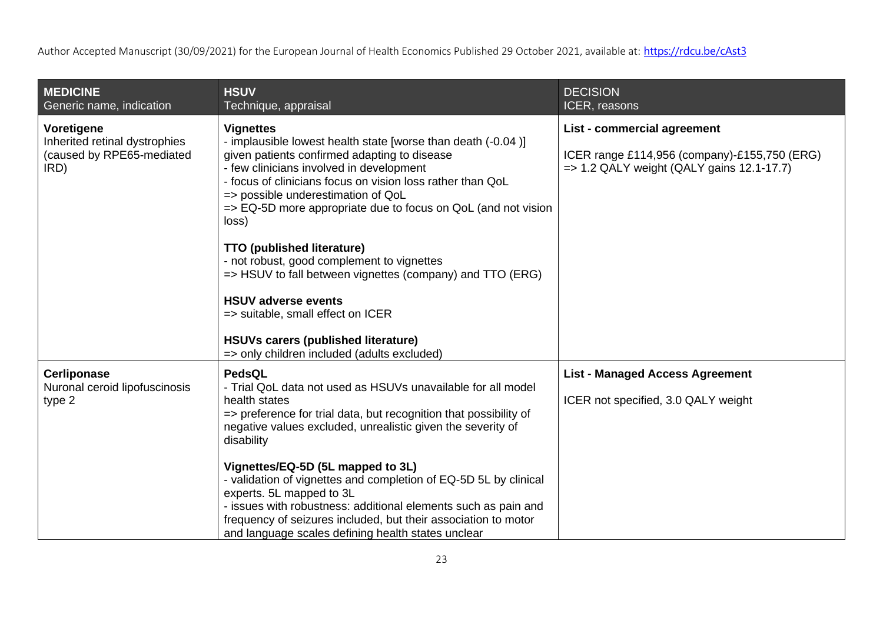| <b>MEDICINE</b><br>Generic name, indication                                      | <b>HSUV</b><br>Technique, appraisal                                                                                                                                                                                                                                                                                                                                                                                                                                                                                                                                                                                                                                        | <b>DECISION</b><br>ICER, reasons                                                                                                    |
|----------------------------------------------------------------------------------|----------------------------------------------------------------------------------------------------------------------------------------------------------------------------------------------------------------------------------------------------------------------------------------------------------------------------------------------------------------------------------------------------------------------------------------------------------------------------------------------------------------------------------------------------------------------------------------------------------------------------------------------------------------------------|-------------------------------------------------------------------------------------------------------------------------------------|
| Voretigene<br>Inherited retinal dystrophies<br>(caused by RPE65-mediated<br>IRD) | <b>Vignettes</b><br>- implausible lowest health state [worse than death (-0.04)]<br>given patients confirmed adapting to disease<br>- few clinicians involved in development<br>- focus of clinicians focus on vision loss rather than QoL<br>=> possible underestimation of QoL<br>=> EQ-5D more appropriate due to focus on QoL (and not vision<br>loss)<br><b>TTO (published literature)</b><br>- not robust, good complement to vignettes<br>=> HSUV to fall between vignettes (company) and TTO (ERG)<br><b>HSUV adverse events</b><br>=> suitable, small effect on ICER<br><b>HSUVs carers (published literature)</b><br>=> only children included (adults excluded) | List - commercial agreement<br>ICER range £114,956 (company)-£155,750 (ERG)<br>$\Rightarrow$ 1.2 QALY weight (QALY gains 12.1-17.7) |
| <b>Cerliponase</b><br>Nuronal ceroid lipofuscinosis<br>type 2                    | PedsQL<br>- Trial QoL data not used as HSUVs unavailable for all model<br>health states<br>=> preference for trial data, but recognition that possibility of<br>negative values excluded, unrealistic given the severity of<br>disability<br>Vignettes/EQ-5D (5L mapped to 3L)<br>- validation of vignettes and completion of EQ-5D 5L by clinical<br>experts. 5L mapped to 3L<br>- issues with robustness: additional elements such as pain and<br>frequency of seizures included, but their association to motor<br>and language scales defining health states unclear                                                                                                   | <b>List - Managed Access Agreement</b><br>ICER not specified, 3.0 QALY weight                                                       |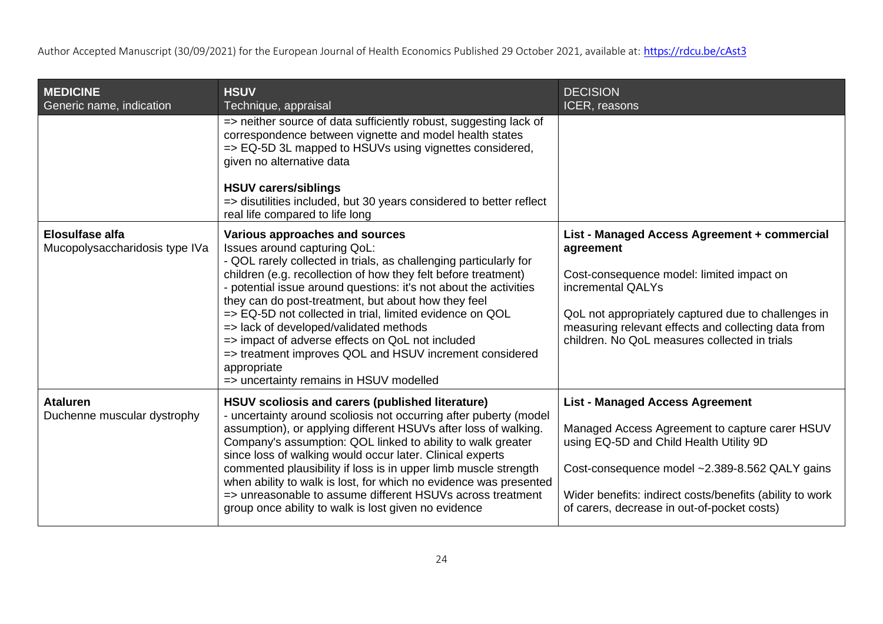| <b>MEDICINE</b><br>Generic name, indication              | <b>HSUV</b><br>Technique, appraisal                                                                                                                                                                                                                                                                                                                                                                                                                                                                                                                                                                              | <b>DECISION</b><br>ICER, reasons                                                                                                                                                                                                                                                                 |
|----------------------------------------------------------|------------------------------------------------------------------------------------------------------------------------------------------------------------------------------------------------------------------------------------------------------------------------------------------------------------------------------------------------------------------------------------------------------------------------------------------------------------------------------------------------------------------------------------------------------------------------------------------------------------------|--------------------------------------------------------------------------------------------------------------------------------------------------------------------------------------------------------------------------------------------------------------------------------------------------|
|                                                          | => neither source of data sufficiently robust, suggesting lack of<br>correspondence between vignette and model health states<br>=> EQ-5D 3L mapped to HSUVs using vignettes considered,<br>given no alternative data                                                                                                                                                                                                                                                                                                                                                                                             |                                                                                                                                                                                                                                                                                                  |
|                                                          | <b>HSUV carers/siblings</b><br>=> disutilities included, but 30 years considered to better reflect<br>real life compared to life long                                                                                                                                                                                                                                                                                                                                                                                                                                                                            |                                                                                                                                                                                                                                                                                                  |
| <b>Elosulfase alfa</b><br>Mucopolysaccharidosis type IVa | Various approaches and sources<br>Issues around capturing QoL:<br>- QOL rarely collected in trials, as challenging particularly for<br>children (e.g. recollection of how they felt before treatment)<br>- potential issue around questions: it's not about the activities<br>they can do post-treatment, but about how they feel<br>=> EQ-5D not collected in trial, limited evidence on QOL<br>=> lack of developed/validated methods<br>=> impact of adverse effects on QoL not included<br>=> treatment improves QOL and HSUV increment considered<br>appropriate<br>=> uncertainty remains in HSUV modelled | List - Managed Access Agreement + commercial<br>agreement<br>Cost-consequence model: limited impact on<br>incremental QALYs<br>QoL not appropriately captured due to challenges in<br>measuring relevant effects and collecting data from<br>children. No QoL measures collected in trials       |
| <b>Ataluren</b><br>Duchenne muscular dystrophy           | HSUV scoliosis and carers (published literature)<br>- uncertainty around scoliosis not occurring after puberty (model<br>assumption), or applying different HSUVs after loss of walking.<br>Company's assumption: QOL linked to ability to walk greater<br>since loss of walking would occur later. Clinical experts<br>commented plausibility if loss is in upper limb muscle strength<br>when ability to walk is lost, for which no evidence was presented<br>=> unreasonable to assume different HSUVs across treatment<br>group once ability to walk is lost given no evidence                               | <b>List - Managed Access Agreement</b><br>Managed Access Agreement to capture carer HSUV<br>using EQ-5D and Child Health Utility 9D<br>Cost-consequence model ~2.389-8.562 QALY gains<br>Wider benefits: indirect costs/benefits (ability to work<br>of carers, decrease in out-of-pocket costs) |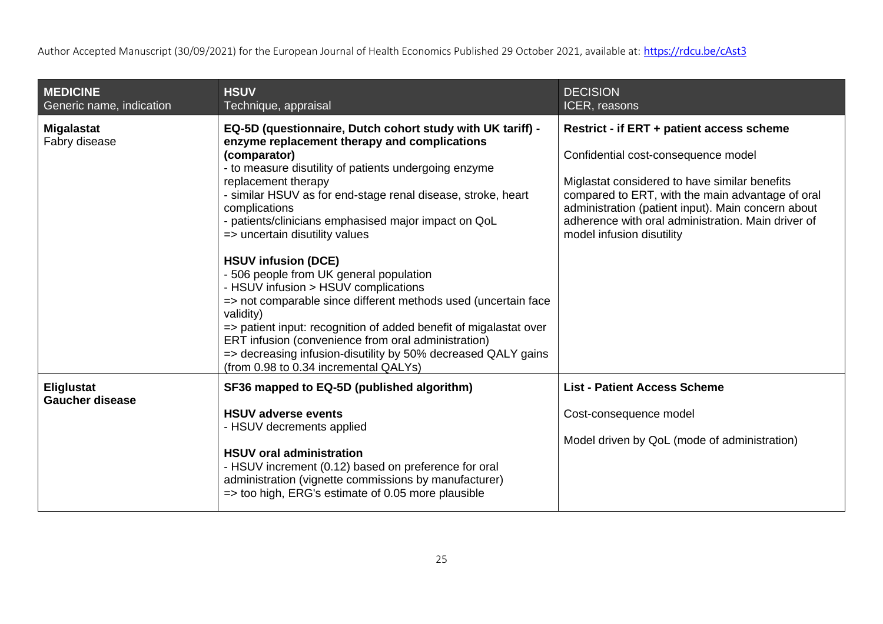| <b>MEDICINE</b><br>Generic name, indication | <b>HSUV</b><br>Technique, appraisal                                                                                                                                                                                                                                                                                                                                                                                                                                                                                                                                                                                                                                                                                                                                                                                         | <b>DECISION</b><br>ICER, reasons                                                                                                                                                                                                                                                                                               |
|---------------------------------------------|-----------------------------------------------------------------------------------------------------------------------------------------------------------------------------------------------------------------------------------------------------------------------------------------------------------------------------------------------------------------------------------------------------------------------------------------------------------------------------------------------------------------------------------------------------------------------------------------------------------------------------------------------------------------------------------------------------------------------------------------------------------------------------------------------------------------------------|--------------------------------------------------------------------------------------------------------------------------------------------------------------------------------------------------------------------------------------------------------------------------------------------------------------------------------|
| <b>Migalastat</b><br>Fabry disease          | EQ-5D (questionnaire, Dutch cohort study with UK tariff) -<br>enzyme replacement therapy and complications<br>(comparator)<br>- to measure disutility of patients undergoing enzyme<br>replacement therapy<br>- similar HSUV as for end-stage renal disease, stroke, heart<br>complications<br>- patients/clinicians emphasised major impact on QoL<br>=> uncertain disutility values<br><b>HSUV infusion (DCE)</b><br>- 506 people from UK general population<br>- HSUV infusion > HSUV complications<br>=> not comparable since different methods used (uncertain face<br>validity)<br>=> patient input: recognition of added benefit of migalastat over<br>ERT infusion (convenience from oral administration)<br>=> decreasing infusion-disutility by 50% decreased QALY gains<br>(from 0.98 to 0.34 incremental QALYs) | Restrict - if ERT + patient access scheme<br>Confidential cost-consequence model<br>Miglastat considered to have similar benefits<br>compared to ERT, with the main advantage of oral<br>administration (patient input). Main concern about<br>adherence with oral administration. Main driver of<br>model infusion disutility |
| Eliglustat<br><b>Gaucher disease</b>        | SF36 mapped to EQ-5D (published algorithm)<br><b>HSUV adverse events</b><br>- HSUV decrements applied<br><b>HSUV oral administration</b><br>- HSUV increment (0.12) based on preference for oral<br>administration (vignette commissions by manufacturer)<br>$\Rightarrow$ too high, ERG's estimate of 0.05 more plausible                                                                                                                                                                                                                                                                                                                                                                                                                                                                                                  | <b>List - Patient Access Scheme</b><br>Cost-consequence model<br>Model driven by QoL (mode of administration)                                                                                                                                                                                                                  |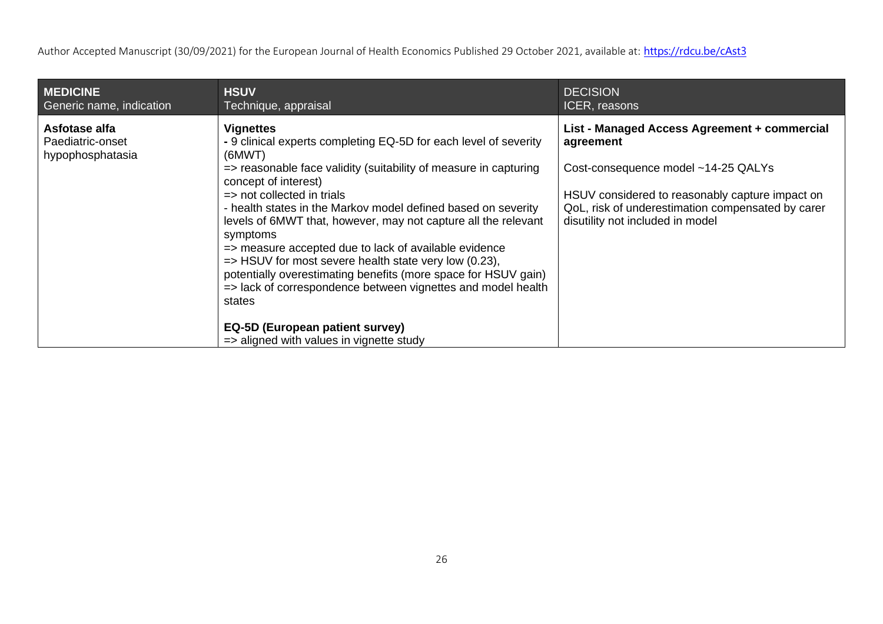| <b>MEDICINE</b>                                       | <b>HSUV</b>                                                                                                                                                                                                                                                                                                                                                                                                                                                                                                                                                                                                                                                                                                                                           | <b>DECISION</b>                                                                                                                                                                                                                              |
|-------------------------------------------------------|-------------------------------------------------------------------------------------------------------------------------------------------------------------------------------------------------------------------------------------------------------------------------------------------------------------------------------------------------------------------------------------------------------------------------------------------------------------------------------------------------------------------------------------------------------------------------------------------------------------------------------------------------------------------------------------------------------------------------------------------------------|----------------------------------------------------------------------------------------------------------------------------------------------------------------------------------------------------------------------------------------------|
| Generic name, indication                              | Technique, appraisal                                                                                                                                                                                                                                                                                                                                                                                                                                                                                                                                                                                                                                                                                                                                  | ICER, reasons                                                                                                                                                                                                                                |
| Asfotase alfa<br>Paediatric-onset<br>hypophosphatasia | <b>Vignettes</b><br>- 9 clinical experts completing EQ-5D for each level of severity<br>(6MWT)<br>=> reasonable face validity (suitability of measure in capturing<br>concept of interest)<br>$\Rightarrow$ not collected in trials<br>- health states in the Markov model defined based on severity<br>levels of 6MWT that, however, may not capture all the relevant<br>symptoms<br>=> measure accepted due to lack of available evidence<br>$\Rightarrow$ HSUV for most severe health state very low (0.23),<br>potentially overestimating benefits (more space for HSUV gain)<br>=> lack of correspondence between vignettes and model health<br>states<br>EQ-5D (European patient survey)<br>$\Rightarrow$ aligned with values in vignette study | List - Managed Access Agreement + commercial<br>agreement<br>Cost-consequence model ~14-25 QALYs<br>HSUV considered to reasonably capture impact on<br>QoL, risk of underestimation compensated by carer<br>disutility not included in model |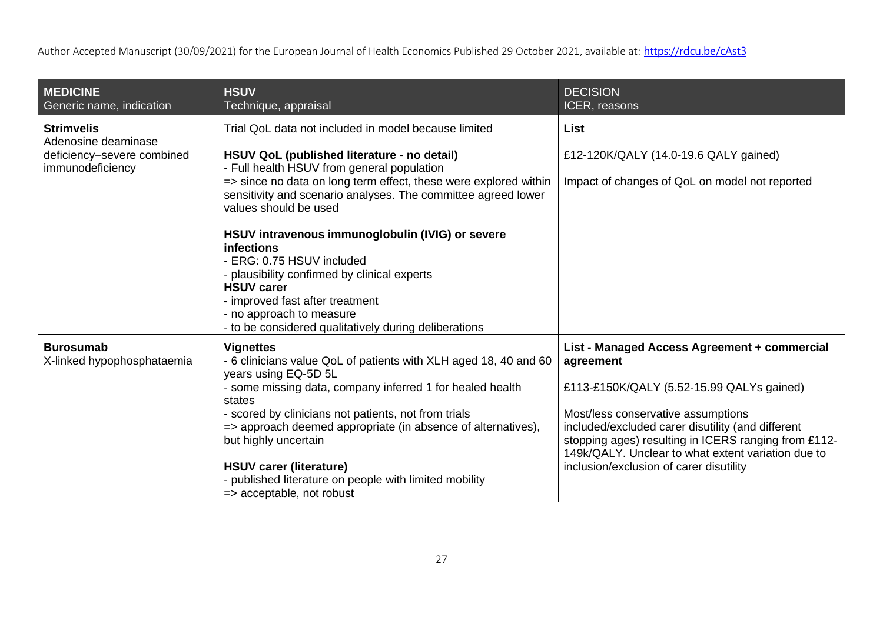| <b>MEDICINE</b><br>Generic name, indication                           | <b>HSUV</b><br>Technique, appraisal                                                                                                                        | <b>DECISION</b><br>ICER, reasons                                                                           |
|-----------------------------------------------------------------------|------------------------------------------------------------------------------------------------------------------------------------------------------------|------------------------------------------------------------------------------------------------------------|
| <b>Strimvelis</b>                                                     | Trial QoL data not included in model because limited                                                                                                       | <b>List</b>                                                                                                |
| Adenosine deaminase<br>deficiency-severe combined<br>immunodeficiency | HSUV QoL (published literature - no detail)<br>- Full health HSUV from general population                                                                  | £12-120K/QALY (14.0-19.6 QALY gained)                                                                      |
|                                                                       | => since no data on long term effect, these were explored within<br>sensitivity and scenario analyses. The committee agreed lower<br>values should be used | Impact of changes of QoL on model not reported                                                             |
|                                                                       | HSUV intravenous immunoglobulin (IVIG) or severe<br><b>infections</b>                                                                                      |                                                                                                            |
|                                                                       | - ERG: 0.75 HSUV included<br>- plausibility confirmed by clinical experts                                                                                  |                                                                                                            |
|                                                                       | <b>HSUV carer</b><br>- improved fast after treatment                                                                                                       |                                                                                                            |
|                                                                       | - no approach to measure<br>- to be considered qualitatively during deliberations                                                                          |                                                                                                            |
| <b>Burosumab</b><br>X-linked hypophosphataemia                        | <b>Vignettes</b><br>- 6 clinicians value QoL of patients with XLH aged 18, 40 and 60<br>years using EQ-5D 5L                                               | List - Managed Access Agreement + commercial<br>agreement                                                  |
|                                                                       | - some missing data, company inferred 1 for healed health<br>states                                                                                        | £113-£150K/QALY (5.52-15.99 QALYs gained)                                                                  |
|                                                                       | - scored by clinicians not patients, not from trials<br>=> approach deemed appropriate (in absence of alternatives),                                       | Most/less conservative assumptions<br>included/excluded carer disutility (and different                    |
|                                                                       | but highly uncertain                                                                                                                                       | stopping ages) resulting in ICERS ranging from £112-<br>149k/QALY. Unclear to what extent variation due to |
|                                                                       | <b>HSUV carer (literature)</b>                                                                                                                             | inclusion/exclusion of carer disutility                                                                    |
|                                                                       | - published literature on people with limited mobility<br>=> acceptable, not robust                                                                        |                                                                                                            |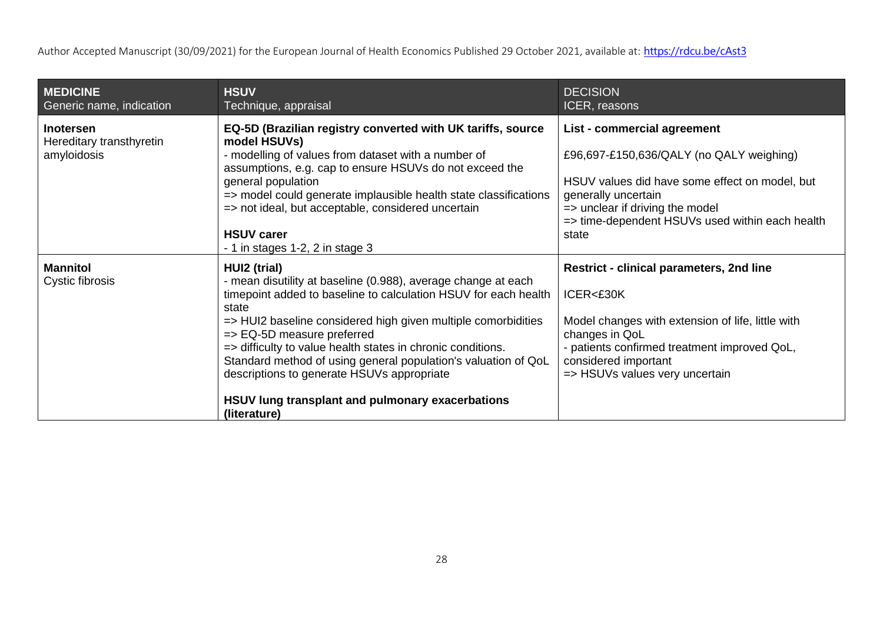| <b>MEDICINE</b><br>Generic name, indication                 | <b>HSUV</b><br>Technique, appraisal                                                                                                                                                                                                                                                                                                                                                                                                                                                                         | <b>DECISION</b><br>ICER, reasons                                                                                                                                                                                                                |
|-------------------------------------------------------------|-------------------------------------------------------------------------------------------------------------------------------------------------------------------------------------------------------------------------------------------------------------------------------------------------------------------------------------------------------------------------------------------------------------------------------------------------------------------------------------------------------------|-------------------------------------------------------------------------------------------------------------------------------------------------------------------------------------------------------------------------------------------------|
| <b>Inotersen</b><br>Hereditary transthyretin<br>amyloidosis | EQ-5D (Brazilian registry converted with UK tariffs, source<br>model HSUVs)<br>- modelling of values from dataset with a number of<br>assumptions, e.g. cap to ensure HSUVs do not exceed the<br>general population<br>=> model could generate implausible health state classifications<br>=> not ideal, but acceptable, considered uncertain<br><b>HSUV carer</b><br>$-1$ in stages 1-2, 2 in stage 3                                                                                                      | List - commercial agreement<br>£96,697-£150,636/QALY (no QALY weighing)<br>HSUV values did have some effect on model, but<br>generally uncertain<br>=> unclear if driving the model<br>=> time-dependent HSUVs used within each health<br>state |
| <b>Mannitol</b><br>Cystic fibrosis                          | HUI2 (trial)<br>- mean disutility at baseline (0.988), average change at each<br>timepoint added to baseline to calculation HSUV for each health<br>state<br>=> HUI2 baseline considered high given multiple comorbidities<br>=> EQ-5D measure preferred<br>=> difficulty to value health states in chronic conditions.<br>Standard method of using general population's valuation of QoL<br>descriptions to generate HSUVs appropriate<br>HSUV lung transplant and pulmonary exacerbations<br>(literature) | <b>Restrict - clinical parameters, 2nd line</b><br>ICER<£30K<br>Model changes with extension of life, little with<br>changes in QoL<br>- patients confirmed treatment improved QoL,<br>considered important<br>=> HSUVs values very uncertain   |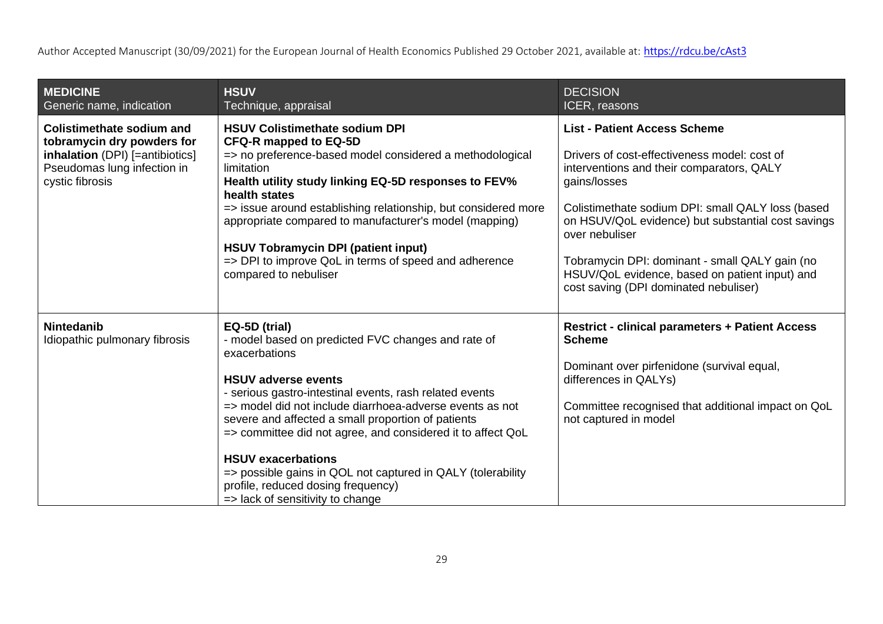| <b>MEDICINE</b><br>Generic name, indication                                                                                                         | <b>HSUV</b><br>Technique, appraisal                                                                                                                                                                                                                                                                                                                                                                                                                                                                                                  | <b>DECISION</b><br>ICER, reasons                                                                                                                                                                                                                                                                                                                                                                                           |
|-----------------------------------------------------------------------------------------------------------------------------------------------------|--------------------------------------------------------------------------------------------------------------------------------------------------------------------------------------------------------------------------------------------------------------------------------------------------------------------------------------------------------------------------------------------------------------------------------------------------------------------------------------------------------------------------------------|----------------------------------------------------------------------------------------------------------------------------------------------------------------------------------------------------------------------------------------------------------------------------------------------------------------------------------------------------------------------------------------------------------------------------|
| <b>Colistimethate sodium and</b><br>tobramycin dry powders for<br>inhalation (DPI) [=antibiotics]<br>Pseudomas lung infection in<br>cystic fibrosis | <b>HSUV Colistimethate sodium DPI</b><br><b>CFQ-R mapped to EQ-5D</b><br>=> no preference-based model considered a methodological<br>limitation<br>Health utility study linking EQ-5D responses to FEV%<br>health states<br>=> issue around establishing relationship, but considered more<br>appropriate compared to manufacturer's model (mapping)<br><b>HSUV Tobramycin DPI (patient input)</b><br>=> DPI to improve QoL in terms of speed and adherence<br>compared to nebuliser                                                 | <b>List - Patient Access Scheme</b><br>Drivers of cost-effectiveness model: cost of<br>interventions and their comparators, QALY<br>gains/losses<br>Colistimethate sodium DPI: small QALY loss (based<br>on HSUV/QoL evidence) but substantial cost savings<br>over nebuliser<br>Tobramycin DPI: dominant - small QALY gain (no<br>HSUV/QoL evidence, based on patient input) and<br>cost saving (DPI dominated nebuliser) |
| <b>Nintedanib</b><br>Idiopathic pulmonary fibrosis                                                                                                  | EQ-5D (trial)<br>- model based on predicted FVC changes and rate of<br>exacerbations<br><b>HSUV adverse events</b><br>- serious gastro-intestinal events, rash related events<br>=> model did not include diarrhoea-adverse events as not<br>severe and affected a small proportion of patients<br>=> committee did not agree, and considered it to affect QoL<br><b>HSUV exacerbations</b><br>=> possible gains in QOL not captured in QALY (tolerability<br>profile, reduced dosing frequency)<br>=> lack of sensitivity to change | <b>Restrict - clinical parameters + Patient Access</b><br><b>Scheme</b><br>Dominant over pirfenidone (survival equal,<br>differences in QALYs)<br>Committee recognised that additional impact on QoL<br>not captured in model                                                                                                                                                                                              |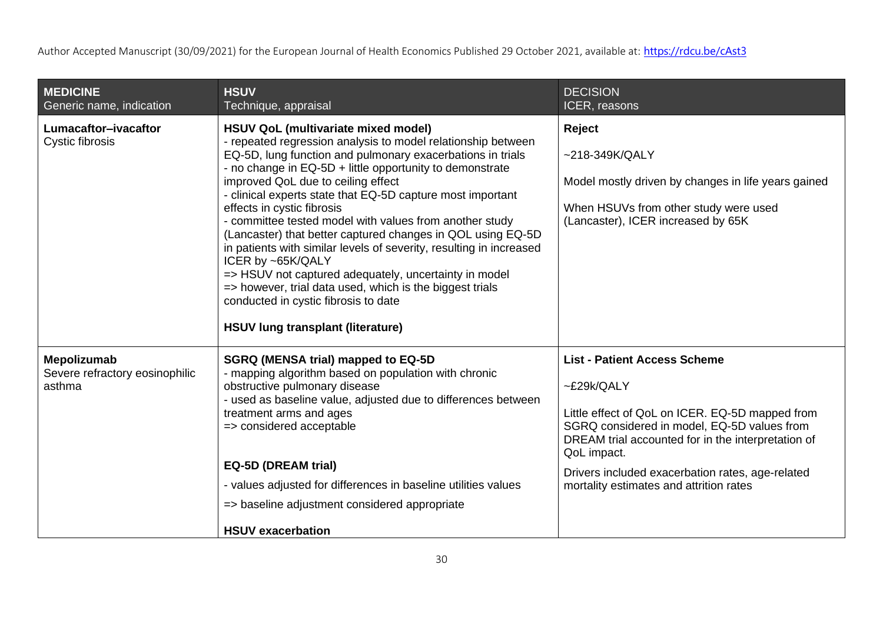| <b>MEDICINE</b><br>Generic name, indication             | <b>HSUV</b><br>Technique, appraisal                                                                                                                                                                                                                                                                                                                                                                                                                                                                                                                                                                                                                                                                                                                                                            | <b>DECISION</b><br>ICER, reasons                                                                                                                                                                                                                                                                                        |
|---------------------------------------------------------|------------------------------------------------------------------------------------------------------------------------------------------------------------------------------------------------------------------------------------------------------------------------------------------------------------------------------------------------------------------------------------------------------------------------------------------------------------------------------------------------------------------------------------------------------------------------------------------------------------------------------------------------------------------------------------------------------------------------------------------------------------------------------------------------|-------------------------------------------------------------------------------------------------------------------------------------------------------------------------------------------------------------------------------------------------------------------------------------------------------------------------|
| Lumacaftor-ivacaftor<br>Cystic fibrosis                 | HSUV QoL (multivariate mixed model)<br>- repeated regression analysis to model relationship between<br>EQ-5D, lung function and pulmonary exacerbations in trials<br>- no change in EQ-5D + little opportunity to demonstrate<br>improved QoL due to ceiling effect<br>- clinical experts state that EQ-5D capture most important<br>effects in cystic fibrosis<br>- committee tested model with values from another study<br>(Lancaster) that better captured changes in QOL using EQ-5D<br>in patients with similar levels of severity, resulting in increased<br>ICER by ~65K/QALY<br>=> HSUV not captured adequately, uncertainty in model<br>=> however, trial data used, which is the biggest trials<br>conducted in cystic fibrosis to date<br><b>HSUV lung transplant (literature)</b> | Reject<br>$~218 - 349K/QALY$<br>Model mostly driven by changes in life years gained<br>When HSUVs from other study were used<br>(Lancaster), ICER increased by 65K                                                                                                                                                      |
| Mepolizumab<br>Severe refractory eosinophilic<br>asthma | <b>SGRQ (MENSA trial) mapped to EQ-5D</b><br>- mapping algorithm based on population with chronic<br>obstructive pulmonary disease<br>- used as baseline value, adjusted due to differences between<br>treatment arms and ages<br>=> considered acceptable<br><b>EQ-5D (DREAM trial)</b><br>- values adjusted for differences in baseline utilities values<br>=> baseline adjustment considered appropriate<br><b>HSUV exacerbation</b>                                                                                                                                                                                                                                                                                                                                                        | <b>List - Patient Access Scheme</b><br>~£29k/QALY<br>Little effect of QoL on ICER. EQ-5D mapped from<br>SGRQ considered in model, EQ-5D values from<br>DREAM trial accounted for in the interpretation of<br>QoL impact.<br>Drivers included exacerbation rates, age-related<br>mortality estimates and attrition rates |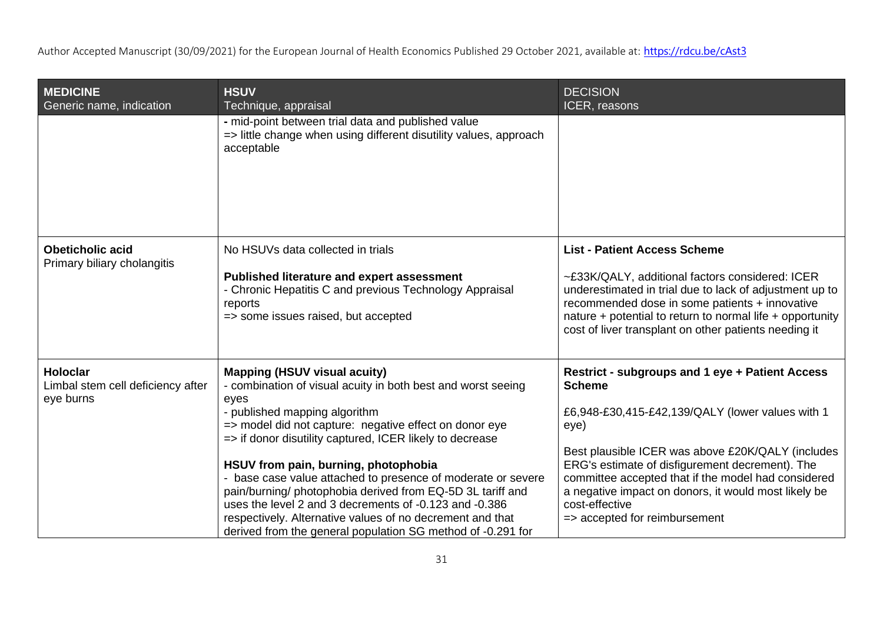| <b>MEDICINE</b><br>Generic name, indication                       | <b>HSUV</b><br>Technique, appraisal                                                                                                                                                                                                                                                                                                                                                                                                                                                                                                                                                                                            | <b>DECISION</b><br>ICER, reasons                                                                                                                                                                                                                                                                                                                                                                       |
|-------------------------------------------------------------------|--------------------------------------------------------------------------------------------------------------------------------------------------------------------------------------------------------------------------------------------------------------------------------------------------------------------------------------------------------------------------------------------------------------------------------------------------------------------------------------------------------------------------------------------------------------------------------------------------------------------------------|--------------------------------------------------------------------------------------------------------------------------------------------------------------------------------------------------------------------------------------------------------------------------------------------------------------------------------------------------------------------------------------------------------|
|                                                                   | - mid-point between trial data and published value<br>=> little change when using different disutility values, approach<br>acceptable                                                                                                                                                                                                                                                                                                                                                                                                                                                                                          |                                                                                                                                                                                                                                                                                                                                                                                                        |
| <b>Obeticholic acid</b><br>Primary biliary cholangitis            | No HSUVs data collected in trials<br><b>Published literature and expert assessment</b><br>- Chronic Hepatitis C and previous Technology Appraisal<br>reports<br>=> some issues raised, but accepted                                                                                                                                                                                                                                                                                                                                                                                                                            | <b>List - Patient Access Scheme</b><br>~£33K/QALY, additional factors considered: ICER<br>underestimated in trial due to lack of adjustment up to<br>recommended dose in some patients + innovative<br>nature + potential to return to normal life + opportunity<br>cost of liver transplant on other patients needing it                                                                              |
| <b>Holoclar</b><br>Limbal stem cell deficiency after<br>eye burns | <b>Mapping (HSUV visual acuity)</b><br>- combination of visual acuity in both best and worst seeing<br>eyes<br>- published mapping algorithm<br>=> model did not capture: negative effect on donor eye<br>=> if donor disutility captured, ICER likely to decrease<br>HSUV from pain, burning, photophobia<br>- base case value attached to presence of moderate or severe<br>pain/burning/ photophobia derived from EQ-5D 3L tariff and<br>uses the level 2 and 3 decrements of -0.123 and -0.386<br>respectively. Alternative values of no decrement and that<br>derived from the general population SG method of -0.291 for | Restrict - subgroups and 1 eye + Patient Access<br><b>Scheme</b><br>£6,948-£30,415-£42,139/QALY (lower values with 1<br>eye)<br>Best plausible ICER was above £20K/QALY (includes<br>ERG's estimate of disfigurement decrement). The<br>committee accepted that if the model had considered<br>a negative impact on donors, it would most likely be<br>cost-effective<br>=> accepted for reimbursement |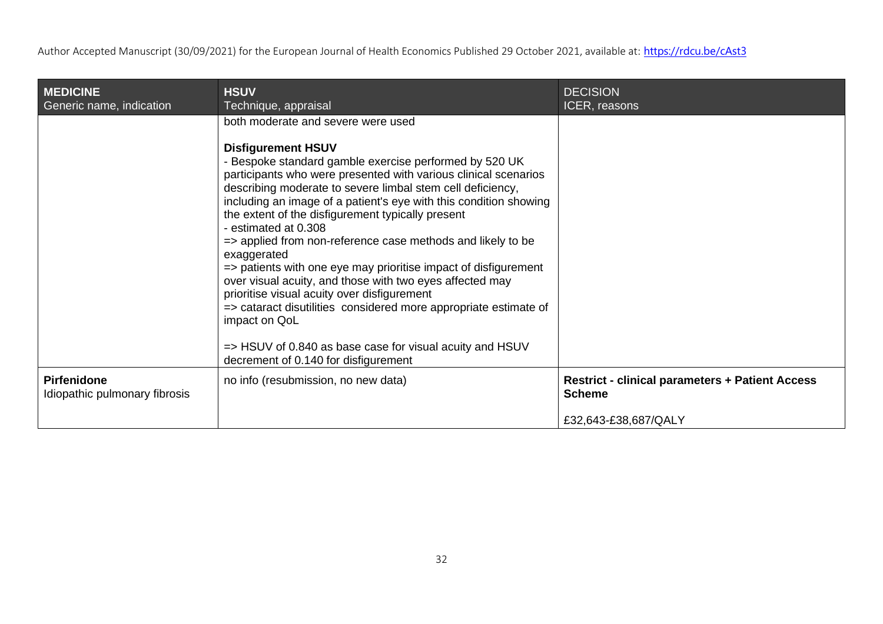| <b>MEDICINE</b><br>Generic name, indication         | <b>HSUV</b><br>Technique, appraisal                                                                                                                                                                                                                                                                                                                                                                                                                                                                                                                                                                                                                                                                                                                                                                                                                               | <b>DECISION</b><br>ICER, reasons                                                                |
|-----------------------------------------------------|-------------------------------------------------------------------------------------------------------------------------------------------------------------------------------------------------------------------------------------------------------------------------------------------------------------------------------------------------------------------------------------------------------------------------------------------------------------------------------------------------------------------------------------------------------------------------------------------------------------------------------------------------------------------------------------------------------------------------------------------------------------------------------------------------------------------------------------------------------------------|-------------------------------------------------------------------------------------------------|
|                                                     | both moderate and severe were used<br><b>Disfigurement HSUV</b><br>- Bespoke standard gamble exercise performed by 520 UK<br>participants who were presented with various clinical scenarios<br>describing moderate to severe limbal stem cell deficiency,<br>including an image of a patient's eye with this condition showing<br>the extent of the disfigurement typically present<br>- estimated at 0.308<br>=> applied from non-reference case methods and likely to be<br>exaggerated<br>=> patients with one eye may prioritise impact of disfigurement<br>over visual acuity, and those with two eyes affected may<br>prioritise visual acuity over disfigurement<br>=> cataract disutilities considered more appropriate estimate of<br>impact on QoL<br>=> HSUV of 0.840 as base case for visual acuity and HSUV<br>decrement of 0.140 for disfigurement |                                                                                                 |
| <b>Pirfenidone</b><br>Idiopathic pulmonary fibrosis | no info (resubmission, no new data)                                                                                                                                                                                                                                                                                                                                                                                                                                                                                                                                                                                                                                                                                                                                                                                                                               | <b>Restrict - clinical parameters + Patient Access</b><br><b>Scheme</b><br>£32,643-£38,687/QALY |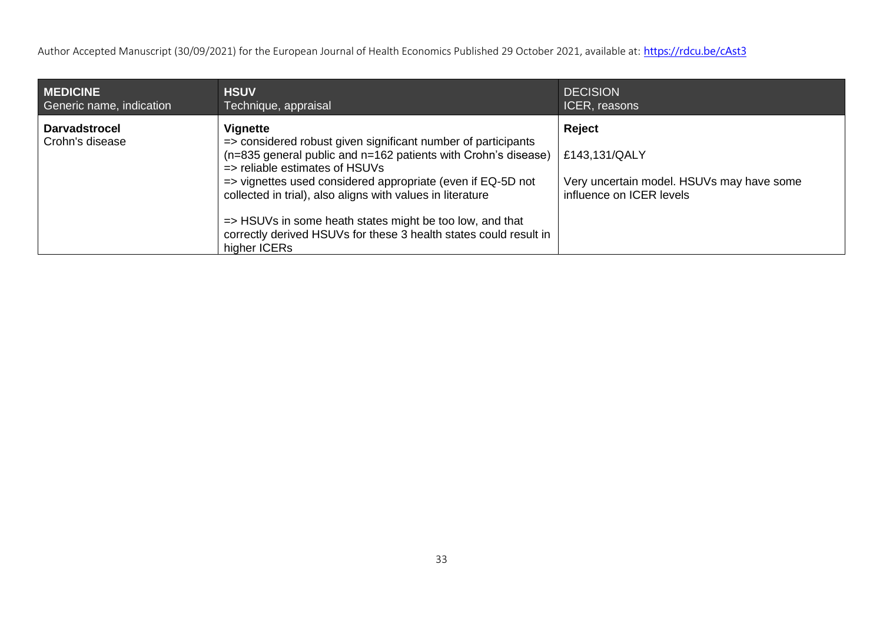| <b>MEDICINE</b>                         | <b>HSUV</b>                                                                                                                                                                                                                                                                                                                                                                                                                                                            | <b>DECISION</b>                                                                                  |
|-----------------------------------------|------------------------------------------------------------------------------------------------------------------------------------------------------------------------------------------------------------------------------------------------------------------------------------------------------------------------------------------------------------------------------------------------------------------------------------------------------------------------|--------------------------------------------------------------------------------------------------|
| Generic name, indication                | Technique, appraisal                                                                                                                                                                                                                                                                                                                                                                                                                                                   | ICER, reasons                                                                                    |
| <b>Darvadstrocel</b><br>Crohn's disease | Vignette<br>=> considered robust given significant number of participants<br>(n=835 general public and n=162 patients with Crohn's disease)<br>$\Rightarrow$ reliable estimates of HSUVs<br>=> vignettes used considered appropriate (even if EQ-5D not<br>collected in trial), also aligns with values in literature<br>=> HSUVs in some heath states might be too low, and that<br>correctly derived HSUVs for these 3 health states could result in<br>higher ICERs | Reject<br>£143,131/QALY<br>Very uncertain model. HSUVs may have some<br>influence on ICER levels |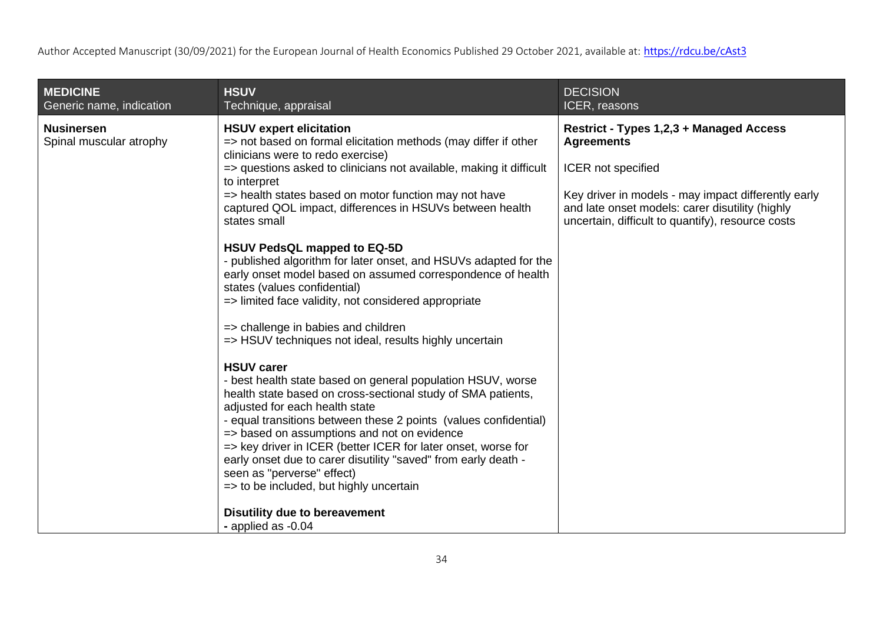| <b>MEDICINE</b><br>Generic name, indication  | <b>HSUV</b><br>Technique, appraisal                                                                                                                                                                                                                                                                                                                                                                                                                                                                                                                                                                                                                                                                                                                                                                                                                                                                                                                                                                                                                                                                                                                                                                                                                                                               | <b>DECISION</b><br>ICER, reasons                                                                                                                                                                                                                  |
|----------------------------------------------|---------------------------------------------------------------------------------------------------------------------------------------------------------------------------------------------------------------------------------------------------------------------------------------------------------------------------------------------------------------------------------------------------------------------------------------------------------------------------------------------------------------------------------------------------------------------------------------------------------------------------------------------------------------------------------------------------------------------------------------------------------------------------------------------------------------------------------------------------------------------------------------------------------------------------------------------------------------------------------------------------------------------------------------------------------------------------------------------------------------------------------------------------------------------------------------------------------------------------------------------------------------------------------------------------|---------------------------------------------------------------------------------------------------------------------------------------------------------------------------------------------------------------------------------------------------|
| <b>Nusinersen</b><br>Spinal muscular atrophy | <b>HSUV expert elicitation</b><br>=> not based on formal elicitation methods (may differ if other<br>clinicians were to redo exercise)<br>=> questions asked to clinicians not available, making it difficult<br>to interpret<br>=> health states based on motor function may not have<br>captured QOL impact, differences in HSUVs between health<br>states small<br><b>HSUV PedsQL mapped to EQ-5D</b><br>- published algorithm for later onset, and HSUVs adapted for the<br>early onset model based on assumed correspondence of health<br>states (values confidential)<br>=> limited face validity, not considered appropriate<br>=> challenge in babies and children<br>=> HSUV techniques not ideal, results highly uncertain<br><b>HSUV carer</b><br>- best health state based on general population HSUV, worse<br>health state based on cross-sectional study of SMA patients,<br>adjusted for each health state<br>- equal transitions between these 2 points (values confidential)<br>=> based on assumptions and not on evidence<br>=> key driver in ICER (better ICER for later onset, worse for<br>early onset due to carer disutility "saved" from early death -<br>seen as "perverse" effect)<br>=> to be included, but highly uncertain<br><b>Disutility due to bereavement</b> | Restrict - Types 1,2,3 + Managed Access<br><b>Agreements</b><br>ICER not specified<br>Key driver in models - may impact differently early<br>and late onset models: carer disutility (highly<br>uncertain, difficult to quantify), resource costs |
|                                              | - applied as -0.04                                                                                                                                                                                                                                                                                                                                                                                                                                                                                                                                                                                                                                                                                                                                                                                                                                                                                                                                                                                                                                                                                                                                                                                                                                                                                |                                                                                                                                                                                                                                                   |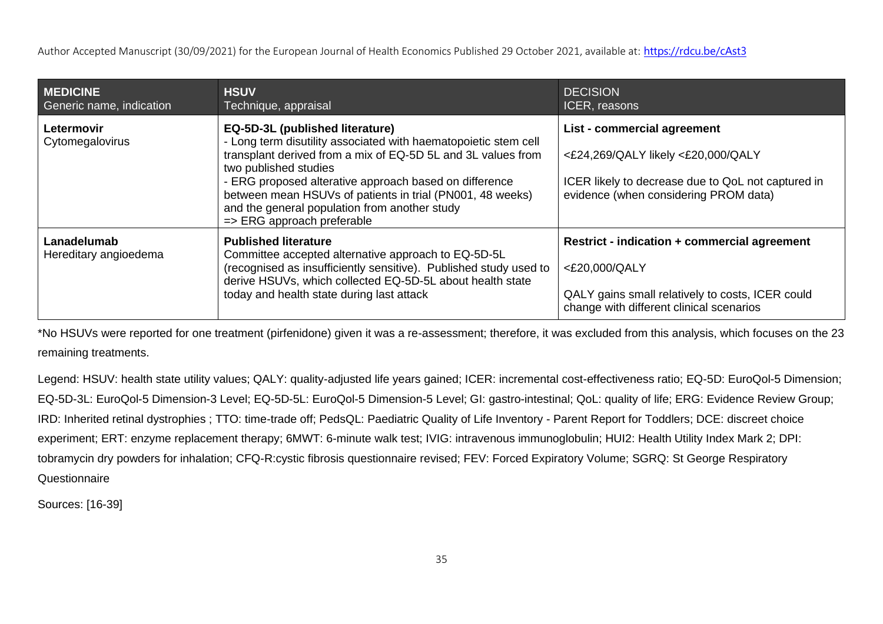| <b>MEDICINE</b><br>Generic name, indication | <b>HSUV</b><br>Technique, appraisal                                                                                                                                                                                                                                                                                                                                                               | <b>DECISION</b><br>ICER, reasons                                                                                                                                     |
|---------------------------------------------|---------------------------------------------------------------------------------------------------------------------------------------------------------------------------------------------------------------------------------------------------------------------------------------------------------------------------------------------------------------------------------------------------|----------------------------------------------------------------------------------------------------------------------------------------------------------------------|
| <b>Letermovir</b><br>Cytomegalovirus        | EQ-5D-3L (published literature)<br>- Long term disutility associated with haematopoietic stem cell<br>transplant derived from a mix of EQ-5D 5L and 3L values from<br>two published studies<br>- ERG proposed alterative approach based on difference<br>between mean HSUVs of patients in trial (PN001, 48 weeks)<br>and the general population from another study<br>=> ERG approach preferable | List - commercial agreement<br><£24,269/QALY likely <£20,000/QALY<br>ICER likely to decrease due to QoL not captured in<br>evidence (when considering PROM data)     |
| Lanadelumab<br>Hereditary angioedema        | <b>Published literature</b><br>Committee accepted alternative approach to EQ-5D-5L<br>(recognised as insufficiently sensitive). Published study used to<br>derive HSUVs, which collected EQ-5D-5L about health state<br>today and health state during last attack                                                                                                                                 | <b>Restrict - indication + commercial agreement</b><br><£20,000/QALY<br>QALY gains small relatively to costs, ICER could<br>change with different clinical scenarios |

\*No HSUVs were reported for one treatment (pirfenidone) given it was a re-assessment; therefore, it was excluded from this analysis, which focuses on the 23 remaining treatments.

Legend: HSUV: health state utility values; QALY: quality-adjusted life years gained; ICER: incremental cost-effectiveness ratio; EQ-5D: EuroQol-5 Dimension; EQ-5D-3L: EuroQol-5 Dimension-3 Level; EQ-5D-5L: EuroQol-5 Dimension-5 Level; GI: gastro-intestinal; QoL: quality of life; ERG: Evidence Review Group; IRD: Inherited retinal dystrophies ; TTO: time-trade off; PedsQL: Paediatric Quality of Life Inventory - Parent Report for Toddlers; DCE: discreet choice experiment; ERT: enzyme replacement therapy; 6MWT: 6-minute walk test; IVIG: intravenous immunoglobulin; HUI2: Health Utility Index Mark 2; DPI: tobramycin dry powders for inhalation; CFQ-R:cystic fibrosis questionnaire revised; FEV: Forced Expiratory Volume; SGRQ: St George Respiratory **Questionnaire** 

Sources: [16-39]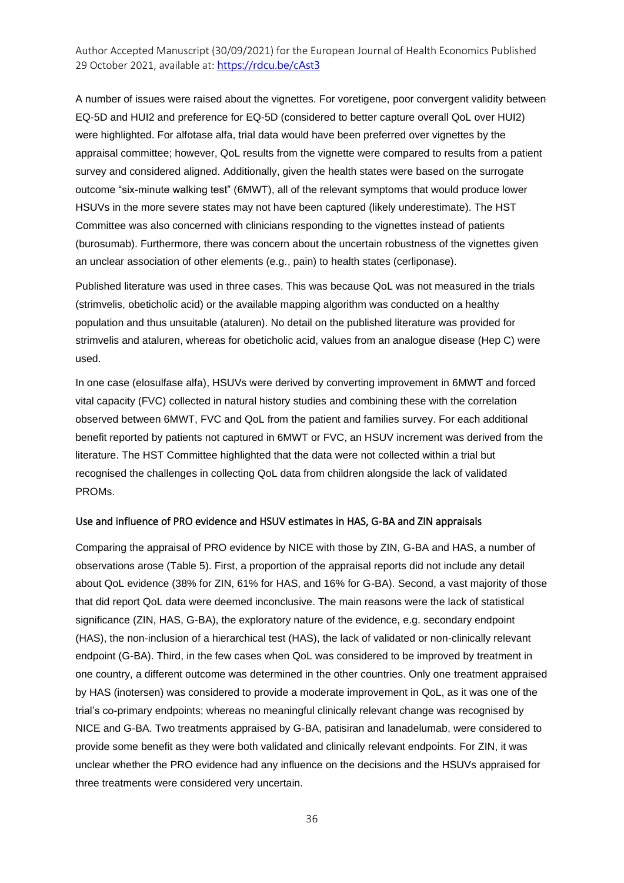A number of issues were raised about the vignettes. For voretigene, poor convergent validity between EQ-5D and HUI2 and preference for EQ-5D (considered to better capture overall QoL over HUI2) were highlighted. For alfotase alfa, trial data would have been preferred over vignettes by the appraisal committee; however, QoL results from the vignette were compared to results from a patient survey and considered aligned. Additionally, given the health states were based on the surrogate outcome "six-minute walking test" (6MWT), all of the relevant symptoms that would produce lower HSUVs in the more severe states may not have been captured (likely underestimate). The HST Committee was also concerned with clinicians responding to the vignettes instead of patients (burosumab). Furthermore, there was concern about the uncertain robustness of the vignettes given an unclear association of other elements (e.g., pain) to health states (cerliponase).

Published literature was used in three cases. This was because QoL was not measured in the trials (strimvelis, obeticholic acid) or the available mapping algorithm was conducted on a healthy population and thus unsuitable (ataluren). No detail on the published literature was provided for strimvelis and ataluren, whereas for obeticholic acid, values from an analogue disease (Hep C) were used.

In one case (elosulfase alfa), HSUVs were derived by converting improvement in 6MWT and forced vital capacity (FVC) collected in natural history studies and combining these with the correlation observed between 6MWT, FVC and QoL from the patient and families survey. For each additional benefit reported by patients not captured in 6MWT or FVC, an HSUV increment was derived from the literature. The HST Committee highlighted that the data were not collected within a trial but recognised the challenges in collecting QoL data from children alongside the lack of validated PROMs.

#### Use and influence of PRO evidence and HSUV estimates in HAS, G-BA and ZIN appraisals

Comparing the appraisal of PRO evidence by NICE with those by ZIN, G-BA and HAS, a number of observations arose (Table 5). First, a proportion of the appraisal reports did not include any detail about QoL evidence (38% for ZIN, 61% for HAS, and 16% for G-BA). Second, a vast majority of those that did report QoL data were deemed inconclusive. The main reasons were the lack of statistical significance (ZIN, HAS, G-BA), the exploratory nature of the evidence, e.g. secondary endpoint (HAS), the non-inclusion of a hierarchical test (HAS), the lack of validated or non-clinically relevant endpoint (G-BA). Third, in the few cases when QoL was considered to be improved by treatment in one country, a different outcome was determined in the other countries. Only one treatment appraised by HAS (inotersen) was considered to provide a moderate improvement in QoL, as it was one of the trial's co-primary endpoints; whereas no meaningful clinically relevant change was recognised by NICE and G-BA. Two treatments appraised by G-BA, patisiran and lanadelumab, were considered to provide some benefit as they were both validated and clinically relevant endpoints. For ZIN, it was unclear whether the PRO evidence had any influence on the decisions and the HSUVs appraised for three treatments were considered very uncertain.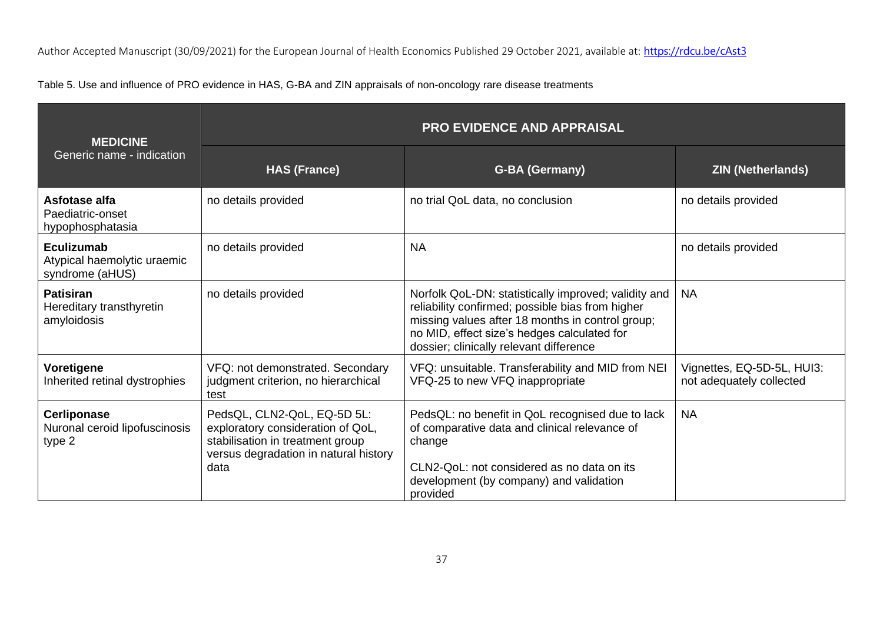Table 5. Use and influence of PRO evidence in HAS, G-BA and ZIN appraisals of non-oncology rare disease treatments

| <b>MEDICINE</b><br>Generic name - indication                        | PRO EVIDENCE AND APPRAISAL                                                                                                                            |                                                                                                                                                                                                                                                        |                                                        |  |
|---------------------------------------------------------------------|-------------------------------------------------------------------------------------------------------------------------------------------------------|--------------------------------------------------------------------------------------------------------------------------------------------------------------------------------------------------------------------------------------------------------|--------------------------------------------------------|--|
|                                                                     | <b>HAS (France)</b>                                                                                                                                   | <b>G-BA (Germany)</b>                                                                                                                                                                                                                                  | <b>ZIN (Netherlands)</b>                               |  |
| Asfotase alfa<br>Paediatric-onset<br>hypophosphatasia               | no details provided                                                                                                                                   | no trial QoL data, no conclusion                                                                                                                                                                                                                       | no details provided                                    |  |
| <b>Eculizumab</b><br>Atypical haemolytic uraemic<br>syndrome (aHUS) | no details provided                                                                                                                                   | <b>NA</b>                                                                                                                                                                                                                                              | no details provided                                    |  |
| <b>Patisiran</b><br>Hereditary transthyretin<br>amyloidosis         | no details provided                                                                                                                                   | Norfolk QoL-DN: statistically improved; validity and<br>reliability confirmed; possible bias from higher<br>missing values after 18 months in control group;<br>no MID, effect size's hedges calculated for<br>dossier; clinically relevant difference | <b>NA</b>                                              |  |
| Voretigene<br>Inherited retinal dystrophies                         | VFQ: not demonstrated. Secondary<br>judgment criterion, no hierarchical<br>test                                                                       | VFQ: unsuitable. Transferability and MID from NEI<br>VFQ-25 to new VFQ inappropriate                                                                                                                                                                   | Vignettes, EQ-5D-5L, HUI3:<br>not adequately collected |  |
| <b>Cerliponase</b><br>Nuronal ceroid lipofuscinosis<br>type 2       | PedsQL, CLN2-QoL, EQ-5D 5L:<br>exploratory consideration of QoL,<br>stabilisation in treatment group<br>versus degradation in natural history<br>data | PedsQL: no benefit in QoL recognised due to lack<br>of comparative data and clinical relevance of<br>change<br>CLN2-QoL: not considered as no data on its<br>development (by company) and validation<br>provided                                       | <b>NA</b>                                              |  |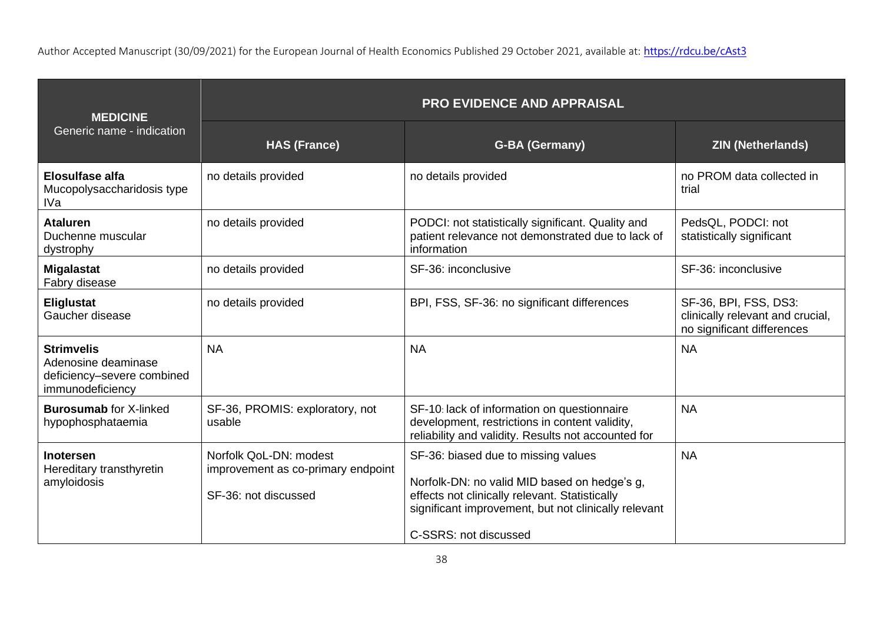| <b>MEDICINE</b>                                                                            | <b>PRO EVIDENCE AND APPRAISAL</b>                                                    |                                                                                                                                                                                                                        |                                                                                         |  |
|--------------------------------------------------------------------------------------------|--------------------------------------------------------------------------------------|------------------------------------------------------------------------------------------------------------------------------------------------------------------------------------------------------------------------|-----------------------------------------------------------------------------------------|--|
| Generic name - indication                                                                  | <b>HAS (France)</b>                                                                  | <b>G-BA (Germany)</b>                                                                                                                                                                                                  | <b>ZIN (Netherlands)</b>                                                                |  |
| <b>Elosulfase alfa</b><br>Mucopolysaccharidosis type<br><b>IVa</b>                         | no details provided                                                                  | no details provided                                                                                                                                                                                                    | no PROM data collected in<br>trial                                                      |  |
| <b>Ataluren</b><br>Duchenne muscular<br>dystrophy                                          | no details provided                                                                  | PODCI: not statistically significant. Quality and<br>patient relevance not demonstrated due to lack of<br>information                                                                                                  | PedsQL, PODCI: not<br>statistically significant                                         |  |
| <b>Migalastat</b><br>Fabry disease                                                         | no details provided                                                                  | SF-36: inconclusive                                                                                                                                                                                                    | SF-36: inconclusive                                                                     |  |
| <b>Eliglustat</b><br>Gaucher disease                                                       | no details provided                                                                  | BPI, FSS, SF-36: no significant differences                                                                                                                                                                            | SF-36, BPI, FSS, DS3:<br>clinically relevant and crucial,<br>no significant differences |  |
| <b>Strimvelis</b><br>Adenosine deaminase<br>deficiency-severe combined<br>immunodeficiency | <b>NA</b>                                                                            | <b>NA</b>                                                                                                                                                                                                              | <b>NA</b>                                                                               |  |
| <b>Burosumab for X-linked</b><br>hypophosphataemia                                         | SF-36, PROMIS: exploratory, not<br>usable                                            | SF-10: lack of information on questionnaire<br>development, restrictions in content validity,<br>reliability and validity. Results not accounted for                                                                   | <b>NA</b>                                                                               |  |
| <b>Inotersen</b><br>Hereditary transthyretin<br>amyloidosis                                | Norfolk QoL-DN: modest<br>improvement as co-primary endpoint<br>SF-36: not discussed | SF-36: biased due to missing values<br>Norfolk-DN: no valid MID based on hedge's g,<br>effects not clinically relevant. Statistically<br>significant improvement, but not clinically relevant<br>C-SSRS: not discussed | <b>NA</b>                                                                               |  |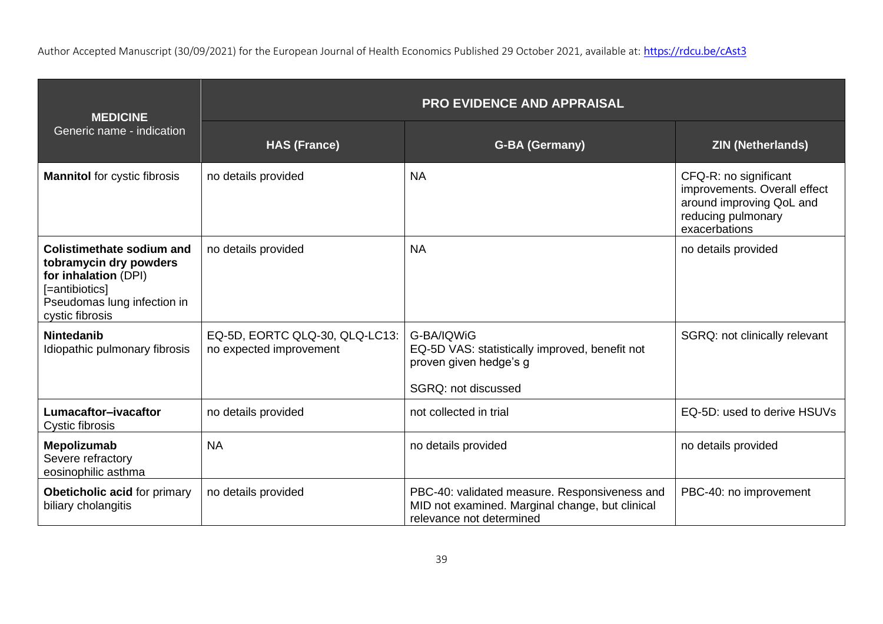| <b>MEDICINE</b><br>Generic name - indication                                                                                                           | <b>PRO EVIDENCE AND APPRAISAL</b>                         |                                                                                                                              |                                                                                                                          |  |
|--------------------------------------------------------------------------------------------------------------------------------------------------------|-----------------------------------------------------------|------------------------------------------------------------------------------------------------------------------------------|--------------------------------------------------------------------------------------------------------------------------|--|
|                                                                                                                                                        | <b>HAS (France)</b>                                       | <b>G-BA (Germany)</b>                                                                                                        | <b>ZIN (Netherlands)</b>                                                                                                 |  |
| <b>Mannitol</b> for cystic fibrosis                                                                                                                    | no details provided                                       | <b>NA</b>                                                                                                                    | CFQ-R: no significant<br>improvements. Overall effect<br>around improving QoL and<br>reducing pulmonary<br>exacerbations |  |
| <b>Colistimethate sodium and</b><br>tobramycin dry powders<br>for inhalation (DPI)<br>[=antibiotics]<br>Pseudomas lung infection in<br>cystic fibrosis | no details provided                                       | <b>NA</b>                                                                                                                    | no details provided                                                                                                      |  |
| <b>Nintedanib</b><br>Idiopathic pulmonary fibrosis                                                                                                     | EQ-5D, EORTC QLQ-30, QLQ-LC13:<br>no expected improvement | G-BA/IQWiG<br>EQ-5D VAS: statistically improved, benefit not<br>proven given hedge's g<br>SGRQ: not discussed                | SGRQ: not clinically relevant                                                                                            |  |
| Lumacaftor-ivacaftor<br>Cystic fibrosis                                                                                                                | no details provided                                       | not collected in trial                                                                                                       | EQ-5D: used to derive HSUVs                                                                                              |  |
| Mepolizumab<br>Severe refractory<br>eosinophilic asthma                                                                                                | <b>NA</b>                                                 | no details provided                                                                                                          | no details provided                                                                                                      |  |
| Obeticholic acid for primary<br>biliary cholangitis                                                                                                    | no details provided                                       | PBC-40: validated measure. Responsiveness and<br>MID not examined. Marginal change, but clinical<br>relevance not determined | PBC-40: no improvement                                                                                                   |  |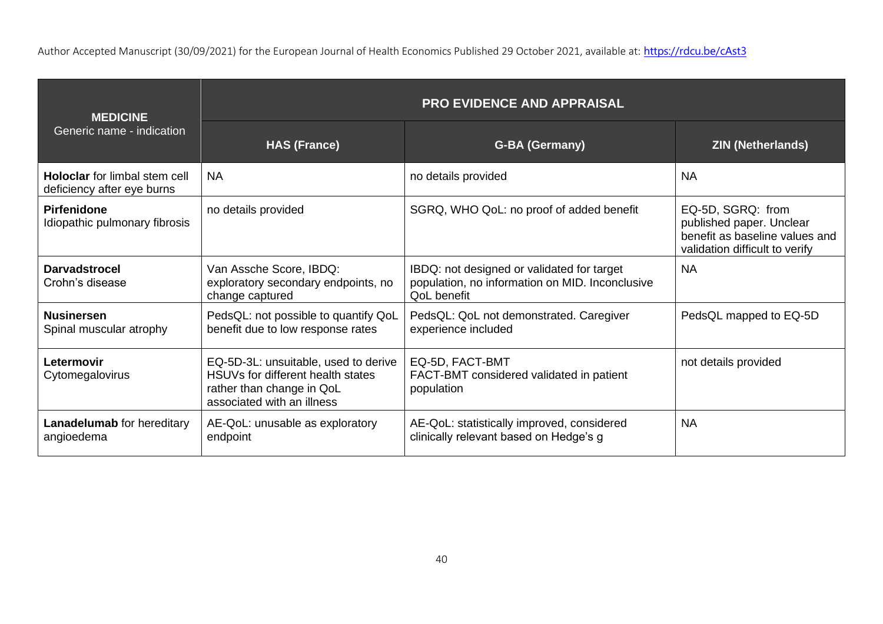| <b>MEDICINE</b><br>Generic name - indication                       | <b>PRO EVIDENCE AND APPRAISAL</b>                                                                                                    |                                                                                                              |                                                                                                                   |  |
|--------------------------------------------------------------------|--------------------------------------------------------------------------------------------------------------------------------------|--------------------------------------------------------------------------------------------------------------|-------------------------------------------------------------------------------------------------------------------|--|
|                                                                    | <b>HAS (France)</b>                                                                                                                  | <b>G-BA (Germany)</b>                                                                                        | <b>ZIN (Netherlands)</b>                                                                                          |  |
| <b>Holoclar</b> for limbal stem cell<br>deficiency after eye burns | <b>NA</b>                                                                                                                            | no details provided                                                                                          | <b>NA</b>                                                                                                         |  |
| <b>Pirfenidone</b><br>Idiopathic pulmonary fibrosis                | no details provided                                                                                                                  | SGRQ, WHO QoL: no proof of added benefit                                                                     | EQ-5D, SGRQ: from<br>published paper. Unclear<br>benefit as baseline values and<br>validation difficult to verify |  |
| <b>Darvadstrocel</b><br>Crohn's disease                            | Van Assche Score, IBDQ:<br>exploratory secondary endpoints, no<br>change captured                                                    | IBDQ: not designed or validated for target<br>population, no information on MID. Inconclusive<br>QoL benefit | <b>NA</b>                                                                                                         |  |
| <b>Nusinersen</b><br>Spinal muscular atrophy                       | PedsQL: not possible to quantify QoL<br>benefit due to low response rates                                                            | PedsQL: QoL not demonstrated. Caregiver<br>experience included                                               | PedsQL mapped to EQ-5D                                                                                            |  |
| Letermovir<br>Cytomegalovirus                                      | EQ-5D-3L: unsuitable, used to derive<br>HSUVs for different health states<br>rather than change in QoL<br>associated with an illness | EQ-5D, FACT-BMT<br>FACT-BMT considered validated in patient<br>population                                    | not details provided                                                                                              |  |
| <b>Lanadelumab</b> for hereditary<br>angioedema                    | AE-QoL: unusable as exploratory<br>endpoint                                                                                          | AE-QoL: statistically improved, considered<br>clinically relevant based on Hedge's g                         | <b>NA</b>                                                                                                         |  |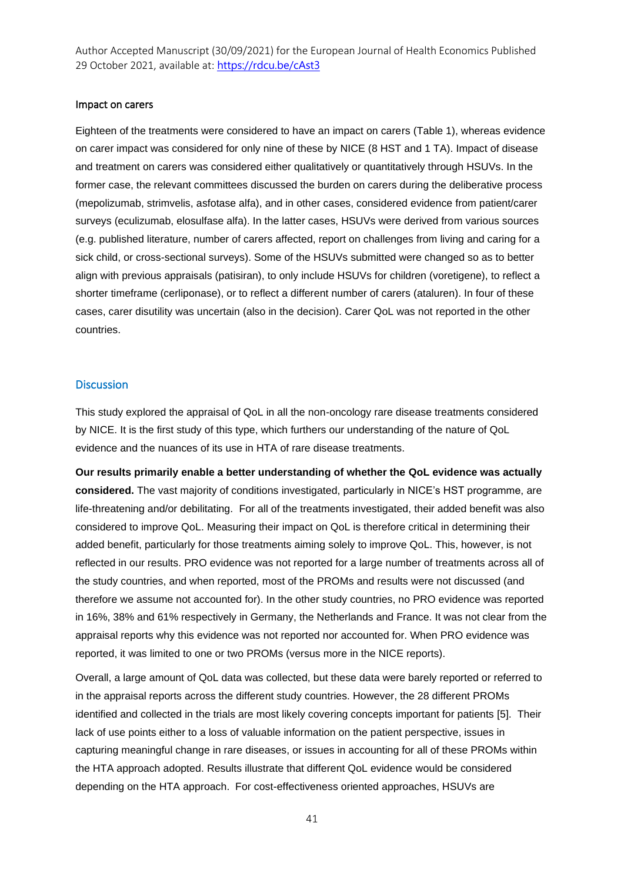#### Impact on carers

Eighteen of the treatments were considered to have an impact on carers (Table 1), whereas evidence on carer impact was considered for only nine of these by NICE (8 HST and 1 TA). Impact of disease and treatment on carers was considered either qualitatively or quantitatively through HSUVs. In the former case, the relevant committees discussed the burden on carers during the deliberative process (mepolizumab, strimvelis, asfotase alfa), and in other cases, considered evidence from patient/carer surveys (eculizumab, elosulfase alfa). In the latter cases, HSUVs were derived from various sources (e.g. published literature, number of carers affected, report on challenges from living and caring for a sick child, or cross-sectional surveys). Some of the HSUVs submitted were changed so as to better align with previous appraisals (patisiran), to only include HSUVs for children (voretigene), to reflect a shorter timeframe (cerliponase), or to reflect a different number of carers (ataluren). In four of these cases, carer disutility was uncertain (also in the decision). Carer QoL was not reported in the other countries.

#### **Discussion**

This study explored the appraisal of QoL in all the non-oncology rare disease treatments considered by NICE. It is the first study of this type, which furthers our understanding of the nature of QoL evidence and the nuances of its use in HTA of rare disease treatments.

**Our results primarily enable a better understanding of whether the QoL evidence was actually considered.** The vast majority of conditions investigated, particularly in NICE's HST programme, are life-threatening and/or debilitating. For all of the treatments investigated, their added benefit was also considered to improve QoL. Measuring their impact on QoL is therefore critical in determining their added benefit, particularly for those treatments aiming solely to improve QoL. This, however, is not reflected in our results. PRO evidence was not reported for a large number of treatments across all of the study countries, and when reported, most of the PROMs and results were not discussed (and therefore we assume not accounted for). In the other study countries, no PRO evidence was reported in 16%, 38% and 61% respectively in Germany, the Netherlands and France. It was not clear from the appraisal reports why this evidence was not reported nor accounted for. When PRO evidence was reported, it was limited to one or two PROMs (versus more in the NICE reports).

Overall, a large amount of QoL data was collected, but these data were barely reported or referred to in the appraisal reports across the different study countries. However, the 28 different PROMs identified and collected in the trials are most likely covering concepts important for patients [5]. Their lack of use points either to a loss of valuable information on the patient perspective, issues in capturing meaningful change in rare diseases, or issues in accounting for all of these PROMs within the HTA approach adopted. Results illustrate that different QoL evidence would be considered depending on the HTA approach. For cost-effectiveness oriented approaches, HSUVs are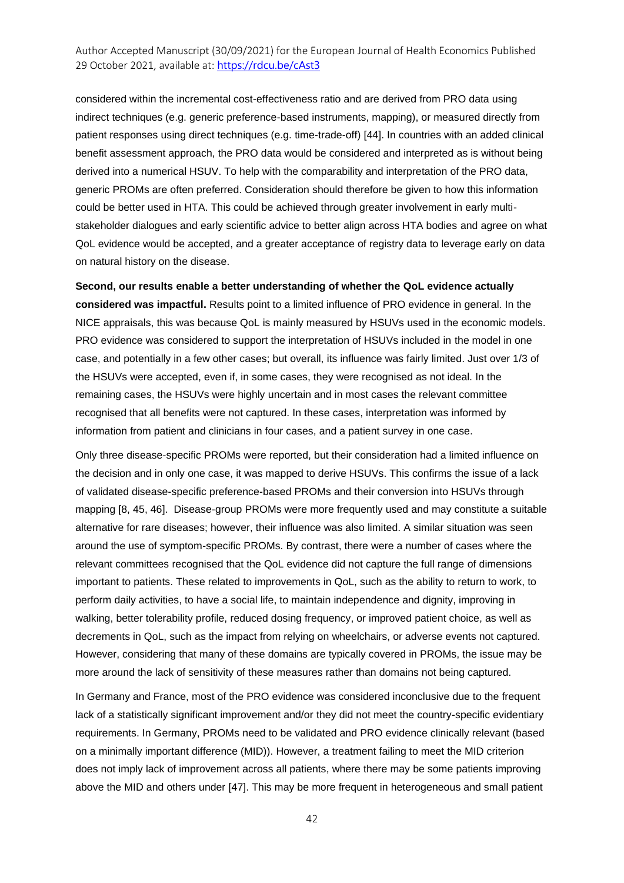considered within the incremental cost-effectiveness ratio and are derived from PRO data using indirect techniques (e.g. generic preference-based instruments, mapping), or measured directly from patient responses using direct techniques (e.g. time-trade-off) [44]. In countries with an added clinical benefit assessment approach, the PRO data would be considered and interpreted as is without being derived into a numerical HSUV. To help with the comparability and interpretation of the PRO data, generic PROMs are often preferred. Consideration should therefore be given to how this information could be better used in HTA. This could be achieved through greater involvement in early multistakeholder dialogues and early scientific advice to better align across HTA bodies and agree on what QoL evidence would be accepted, and a greater acceptance of registry data to leverage early on data on natural history on the disease.

**Second, our results enable a better understanding of whether the QoL evidence actually considered was impactful.** Results point to a limited influence of PRO evidence in general. In the NICE appraisals, this was because QoL is mainly measured by HSUVs used in the economic models. PRO evidence was considered to support the interpretation of HSUVs included in the model in one case, and potentially in a few other cases; but overall, its influence was fairly limited. Just over 1/3 of the HSUVs were accepted, even if, in some cases, they were recognised as not ideal. In the remaining cases, the HSUVs were highly uncertain and in most cases the relevant committee recognised that all benefits were not captured. In these cases, interpretation was informed by information from patient and clinicians in four cases, and a patient survey in one case.

Only three disease-specific PROMs were reported, but their consideration had a limited influence on the decision and in only one case, it was mapped to derive HSUVs. This confirms the issue of a lack of validated disease-specific preference-based PROMs and their conversion into HSUVs through mapping [8, 45, 46]. Disease-group PROMs were more frequently used and may constitute a suitable alternative for rare diseases; however, their influence was also limited. A similar situation was seen around the use of symptom-specific PROMs. By contrast, there were a number of cases where the relevant committees recognised that the QoL evidence did not capture the full range of dimensions important to patients. These related to improvements in QoL, such as the ability to return to work, to perform daily activities, to have a social life, to maintain independence and dignity, improving in walking, better tolerability profile, reduced dosing frequency, or improved patient choice, as well as decrements in QoL, such as the impact from relying on wheelchairs, or adverse events not captured. However, considering that many of these domains are typically covered in PROMs, the issue may be more around the lack of sensitivity of these measures rather than domains not being captured.

In Germany and France, most of the PRO evidence was considered inconclusive due to the frequent lack of a statistically significant improvement and/or they did not meet the country-specific evidentiary requirements. In Germany, PROMs need to be validated and PRO evidence clinically relevant (based on a minimally important difference (MID)). However, a treatment failing to meet the MID criterion does not imply lack of improvement across all patients, where there may be some patients improving above the MID and others under [47]. This may be more frequent in heterogeneous and small patient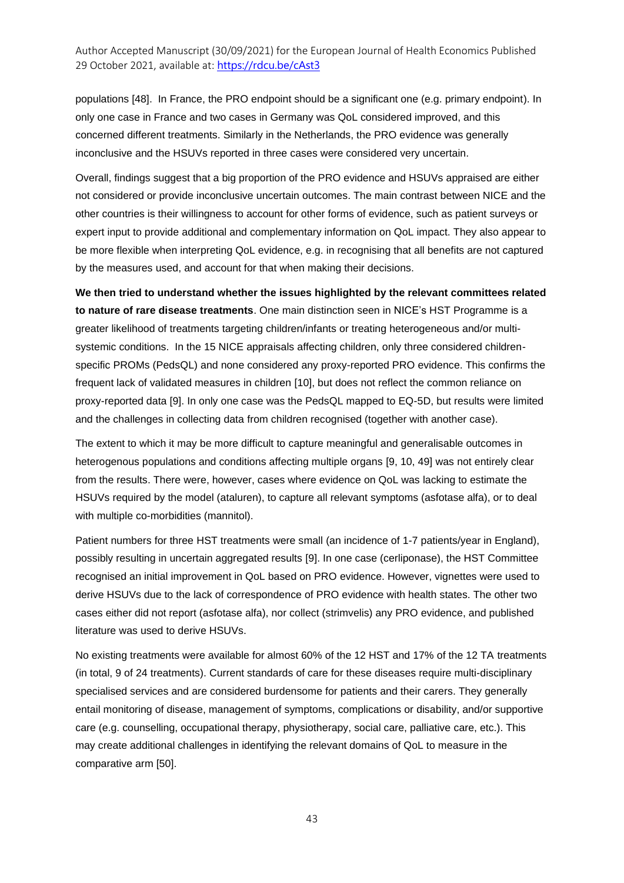populations [48]. In France, the PRO endpoint should be a significant one (e.g. primary endpoint). In only one case in France and two cases in Germany was QoL considered improved, and this concerned different treatments. Similarly in the Netherlands, the PRO evidence was generally inconclusive and the HSUVs reported in three cases were considered very uncertain.

Overall, findings suggest that a big proportion of the PRO evidence and HSUVs appraised are either not considered or provide inconclusive uncertain outcomes. The main contrast between NICE and the other countries is their willingness to account for other forms of evidence, such as patient surveys or expert input to provide additional and complementary information on QoL impact. They also appear to be more flexible when interpreting QoL evidence, e.g. in recognising that all benefits are not captured by the measures used, and account for that when making their decisions.

**We then tried to understand whether the issues highlighted by the relevant committees related to nature of rare disease treatments**. One main distinction seen in NICE's HST Programme is a greater likelihood of treatments targeting children/infants or treating heterogeneous and/or multisystemic conditions. In the 15 NICE appraisals affecting children, only three considered childrenspecific PROMs (PedsQL) and none considered any proxy-reported PRO evidence. This confirms the frequent lack of validated measures in children [10], but does not reflect the common reliance on proxy-reported data [9]. In only one case was the PedsQL mapped to EQ-5D, but results were limited and the challenges in collecting data from children recognised (together with another case).

The extent to which it may be more difficult to capture meaningful and generalisable outcomes in heterogenous populations and conditions affecting multiple organs [9, 10, 49] was not entirely clear from the results. There were, however, cases where evidence on QoL was lacking to estimate the HSUVs required by the model (ataluren), to capture all relevant symptoms (asfotase alfa), or to deal with multiple co-morbidities (mannitol).

Patient numbers for three HST treatments were small (an incidence of 1-7 patients/year in England), possibly resulting in uncertain aggregated results [9]. In one case (cerliponase), the HST Committee recognised an initial improvement in QoL based on PRO evidence. However, vignettes were used to derive HSUVs due to the lack of correspondence of PRO evidence with health states. The other two cases either did not report (asfotase alfa), nor collect (strimvelis) any PRO evidence, and published literature was used to derive HSUVs.

No existing treatments were available for almost 60% of the 12 HST and 17% of the 12 TA treatments (in total, 9 of 24 treatments). Current standards of care for these diseases require multi-disciplinary specialised services and are considered burdensome for patients and their carers. They generally entail monitoring of disease, management of symptoms, complications or disability, and/or supportive care (e.g. counselling, occupational therapy, physiotherapy, social care, palliative care, etc.). This may create additional challenges in identifying the relevant domains of QoL to measure in the comparative arm [50].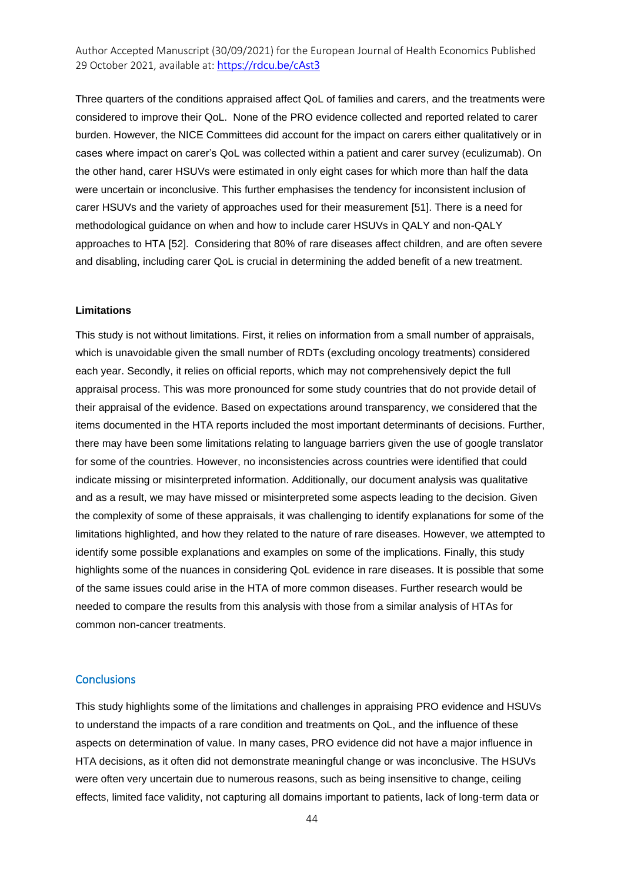Three quarters of the conditions appraised affect QoL of families and carers, and the treatments were considered to improve their QoL. None of the PRO evidence collected and reported related to carer burden. However, the NICE Committees did account for the impact on carers either qualitatively or in cases where impact on carer's QoL was collected within a patient and carer survey (eculizumab). On the other hand, carer HSUVs were estimated in only eight cases for which more than half the data were uncertain or inconclusive. This further emphasises the tendency for inconsistent inclusion of carer HSUVs and the variety of approaches used for their measurement [51]. There is a need for methodological guidance on when and how to include carer HSUVs in QALY and non-QALY approaches to HTA [52]. Considering that 80% of rare diseases affect children, and are often severe and disabling, including carer QoL is crucial in determining the added benefit of a new treatment.

#### **Limitations**

This study is not without limitations. First, it relies on information from a small number of appraisals, which is unavoidable given the small number of RDTs (excluding oncology treatments) considered each year. Secondly, it relies on official reports, which may not comprehensively depict the full appraisal process. This was more pronounced for some study countries that do not provide detail of their appraisal of the evidence. Based on expectations around transparency, we considered that the items documented in the HTA reports included the most important determinants of decisions. Further, there may have been some limitations relating to language barriers given the use of google translator for some of the countries. However, no inconsistencies across countries were identified that could indicate missing or misinterpreted information. Additionally, our document analysis was qualitative and as a result, we may have missed or misinterpreted some aspects leading to the decision. Given the complexity of some of these appraisals, it was challenging to identify explanations for some of the limitations highlighted, and how they related to the nature of rare diseases. However, we attempted to identify some possible explanations and examples on some of the implications. Finally, this study highlights some of the nuances in considering QoL evidence in rare diseases. It is possible that some of the same issues could arise in the HTA of more common diseases. Further research would be needed to compare the results from this analysis with those from a similar analysis of HTAs for common non-cancer treatments.

#### **Conclusions**

This study highlights some of the limitations and challenges in appraising PRO evidence and HSUVs to understand the impacts of a rare condition and treatments on QoL, and the influence of these aspects on determination of value. In many cases, PRO evidence did not have a major influence in HTA decisions, as it often did not demonstrate meaningful change or was inconclusive. The HSUVs were often very uncertain due to numerous reasons, such as being insensitive to change, ceiling effects, limited face validity, not capturing all domains important to patients, lack of long-term data or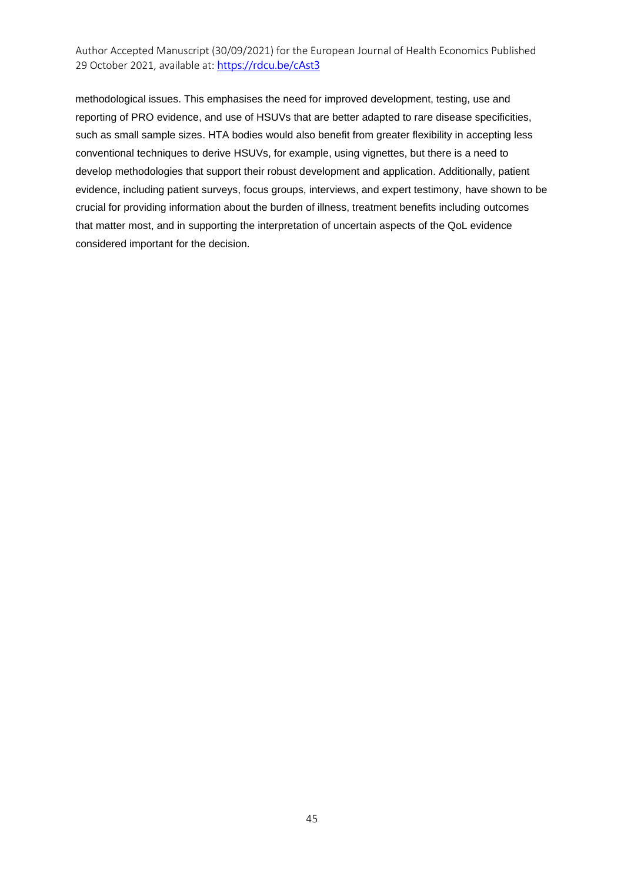methodological issues. This emphasises the need for improved development, testing, use and reporting of PRO evidence, and use of HSUVs that are better adapted to rare disease specificities, such as small sample sizes. HTA bodies would also benefit from greater flexibility in accepting less conventional techniques to derive HSUVs, for example, using vignettes, but there is a need to develop methodologies that support their robust development and application. Additionally, patient evidence, including patient surveys, focus groups, interviews, and expert testimony, have shown to be crucial for providing information about the burden of illness, treatment benefits including outcomes that matter most, and in supporting the interpretation of uncertain aspects of the QoL evidence considered important for the decision.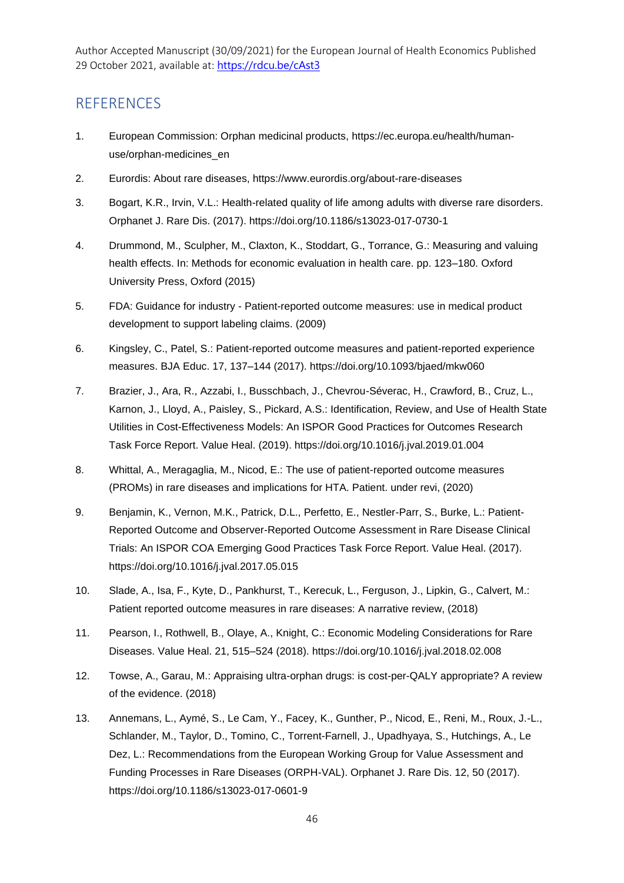### **REFERENCES**

- 1. European Commission: Orphan medicinal products, https://ec.europa.eu/health/humanuse/orphan-medicines\_en
- 2. Eurordis: About rare diseases, https://www.eurordis.org/about-rare-diseases
- 3. Bogart, K.R., Irvin, V.L.: Health-related quality of life among adults with diverse rare disorders. Orphanet J. Rare Dis. (2017). https://doi.org/10.1186/s13023-017-0730-1
- 4. Drummond, M., Sculpher, M., Claxton, K., Stoddart, G., Torrance, G.: Measuring and valuing health effects. In: Methods for economic evaluation in health care. pp. 123–180. Oxford University Press, Oxford (2015)
- 5. FDA: Guidance for industry Patient-reported outcome measures: use in medical product development to support labeling claims. (2009)
- 6. Kingsley, C., Patel, S.: Patient-reported outcome measures and patient-reported experience measures. BJA Educ. 17, 137–144 (2017). https://doi.org/10.1093/bjaed/mkw060
- 7. Brazier, J., Ara, R., Azzabi, I., Busschbach, J., Chevrou-Séverac, H., Crawford, B., Cruz, L., Karnon, J., Lloyd, A., Paisley, S., Pickard, A.S.: Identification, Review, and Use of Health State Utilities in Cost-Effectiveness Models: An ISPOR Good Practices for Outcomes Research Task Force Report. Value Heal. (2019). https://doi.org/10.1016/j.jval.2019.01.004
- 8. Whittal, A., Meragaglia, M., Nicod, E.: The use of patient-reported outcome measures (PROMs) in rare diseases and implications for HTA. Patient. under revi, (2020)
- 9. Benjamin, K., Vernon, M.K., Patrick, D.L., Perfetto, E., Nestler-Parr, S., Burke, L.: Patient-Reported Outcome and Observer-Reported Outcome Assessment in Rare Disease Clinical Trials: An ISPOR COA Emerging Good Practices Task Force Report. Value Heal. (2017). https://doi.org/10.1016/j.jval.2017.05.015
- 10. Slade, A., Isa, F., Kyte, D., Pankhurst, T., Kerecuk, L., Ferguson, J., Lipkin, G., Calvert, M.: Patient reported outcome measures in rare diseases: A narrative review, (2018)
- 11. Pearson, I., Rothwell, B., Olaye, A., Knight, C.: Economic Modeling Considerations for Rare Diseases. Value Heal. 21, 515–524 (2018). https://doi.org/10.1016/j.jval.2018.02.008
- 12. Towse, A., Garau, M.: Appraising ultra-orphan drugs: is cost-per-QALY appropriate? A review of the evidence. (2018)
- 13. Annemans, L., Aymé, S., Le Cam, Y., Facey, K., Gunther, P., Nicod, E., Reni, M., Roux, J.-L., Schlander, M., Taylor, D., Tomino, C., Torrent-Farnell, J., Upadhyaya, S., Hutchings, A., Le Dez, L.: Recommendations from the European Working Group for Value Assessment and Funding Processes in Rare Diseases (ORPH-VAL). Orphanet J. Rare Dis. 12, 50 (2017). https://doi.org/10.1186/s13023-017-0601-9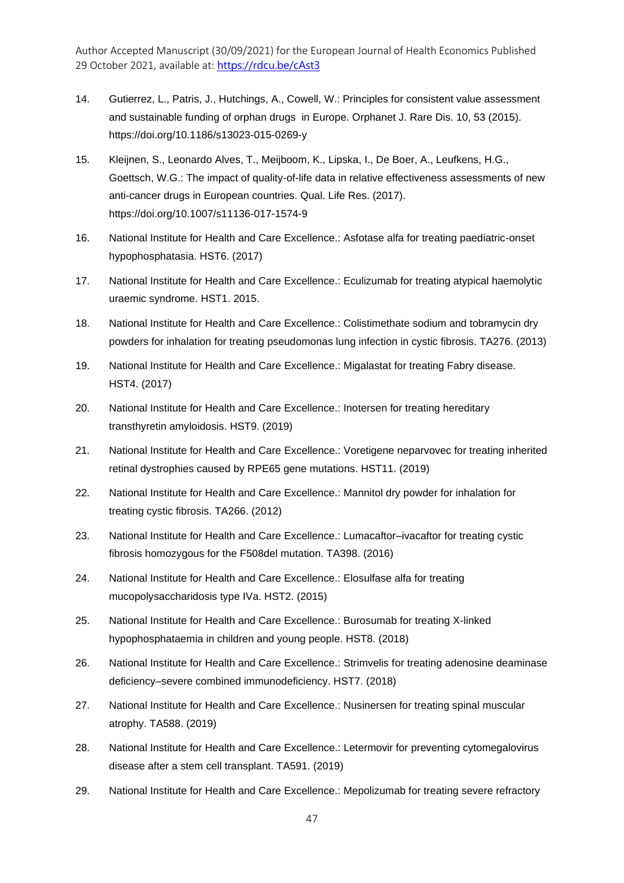- 14. Gutierrez, L., Patris, J., Hutchings, A., Cowell, W.: Principles for consistent value assessment and sustainable funding of orphan drugs in Europe. Orphanet J. Rare Dis. 10, 53 (2015). https://doi.org/10.1186/s13023-015-0269-y
- 15. Kleijnen, S., Leonardo Alves, T., Meijboom, K., Lipska, I., De Boer, A., Leufkens, H.G., Goettsch, W.G.: The impact of quality-of-life data in relative effectiveness assessments of new anti-cancer drugs in European countries. Qual. Life Res. (2017). https://doi.org/10.1007/s11136-017-1574-9
- 16. National Institute for Health and Care Excellence.: Asfotase alfa for treating paediatric-onset hypophosphatasia. HST6. (2017)
- 17. National Institute for Health and Care Excellence.: Eculizumab for treating atypical haemolytic uraemic syndrome. HST1. 2015.
- 18. National Institute for Health and Care Excellence.: Colistimethate sodium and tobramycin dry powders for inhalation for treating pseudomonas lung infection in cystic fibrosis. TA276. (2013)
- 19. National Institute for Health and Care Excellence.: Migalastat for treating Fabry disease. HST4. (2017)
- 20. National Institute for Health and Care Excellence.: Inotersen for treating hereditary transthyretin amyloidosis. HST9. (2019)
- 21. National Institute for Health and Care Excellence.: Voretigene neparvovec for treating inherited retinal dystrophies caused by RPE65 gene mutations. HST11. (2019)
- 22. National Institute for Health and Care Excellence.: Mannitol dry powder for inhalation for treating cystic fibrosis. TA266. (2012)
- 23. National Institute for Health and Care Excellence.: Lumacaftor–ivacaftor for treating cystic fibrosis homozygous for the F508del mutation. TA398. (2016)
- 24. National Institute for Health and Care Excellence.: Elosulfase alfa for treating mucopolysaccharidosis type IVa. HST2. (2015)
- 25. National Institute for Health and Care Excellence.: Burosumab for treating X-linked hypophosphataemia in children and young people. HST8. (2018)
- 26. National Institute for Health and Care Excellence.: Strimvelis for treating adenosine deaminase deficiency–severe combined immunodeficiency. HST7. (2018)
- 27. National Institute for Health and Care Excellence.: Nusinersen for treating spinal muscular atrophy. TA588. (2019)
- 28. National Institute for Health and Care Excellence.: Letermovir for preventing cytomegalovirus disease after a stem cell transplant. TA591. (2019)
- 29. National Institute for Health and Care Excellence.: Mepolizumab for treating severe refractory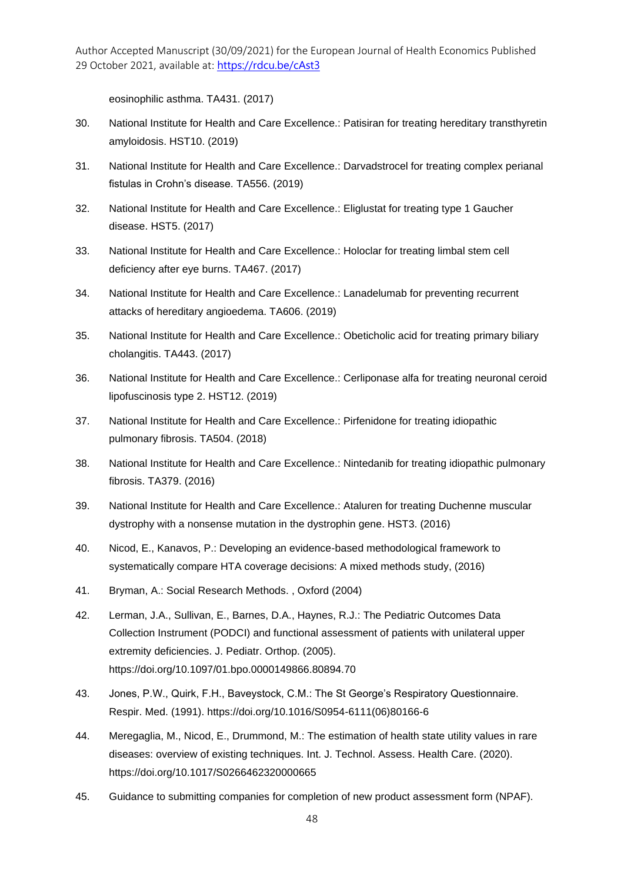eosinophilic asthma. TA431. (2017)

- 30. National Institute for Health and Care Excellence.: Patisiran for treating hereditary transthyretin amyloidosis. HST10. (2019)
- 31. National Institute for Health and Care Excellence.: Darvadstrocel for treating complex perianal fistulas in Crohn's disease. TA556. (2019)
- 32. National Institute for Health and Care Excellence.: Eliglustat for treating type 1 Gaucher disease. HST5. (2017)
- 33. National Institute for Health and Care Excellence.: Holoclar for treating limbal stem cell deficiency after eye burns. TA467. (2017)
- 34. National Institute for Health and Care Excellence.: Lanadelumab for preventing recurrent attacks of hereditary angioedema. TA606. (2019)
- 35. National Institute for Health and Care Excellence.: Obeticholic acid for treating primary biliary cholangitis. TA443. (2017)
- 36. National Institute for Health and Care Excellence.: Cerliponase alfa for treating neuronal ceroid lipofuscinosis type 2. HST12. (2019)
- 37. National Institute for Health and Care Excellence.: Pirfenidone for treating idiopathic pulmonary fibrosis. TA504. (2018)
- 38. National Institute for Health and Care Excellence.: Nintedanib for treating idiopathic pulmonary fibrosis. TA379. (2016)
- 39. National Institute for Health and Care Excellence.: Ataluren for treating Duchenne muscular dystrophy with a nonsense mutation in the dystrophin gene. HST3. (2016)
- 40. Nicod, E., Kanavos, P.: Developing an evidence-based methodological framework to systematically compare HTA coverage decisions: A mixed methods study, (2016)
- 41. Bryman, A.: Social Research Methods. , Oxford (2004)
- 42. Lerman, J.A., Sullivan, E., Barnes, D.A., Haynes, R.J.: The Pediatric Outcomes Data Collection Instrument (PODCI) and functional assessment of patients with unilateral upper extremity deficiencies. J. Pediatr. Orthop. (2005). https://doi.org/10.1097/01.bpo.0000149866.80894.70
- 43. Jones, P.W., Quirk, F.H., Baveystock, C.M.: The St George's Respiratory Questionnaire. Respir. Med. (1991). https://doi.org/10.1016/S0954-6111(06)80166-6
- 44. Meregaglia, M., Nicod, E., Drummond, M.: The estimation of health state utility values in rare diseases: overview of existing techniques. Int. J. Technol. Assess. Health Care. (2020). https://doi.org/10.1017/S0266462320000665
- 45. Guidance to submitting companies for completion of new product assessment form (NPAF).